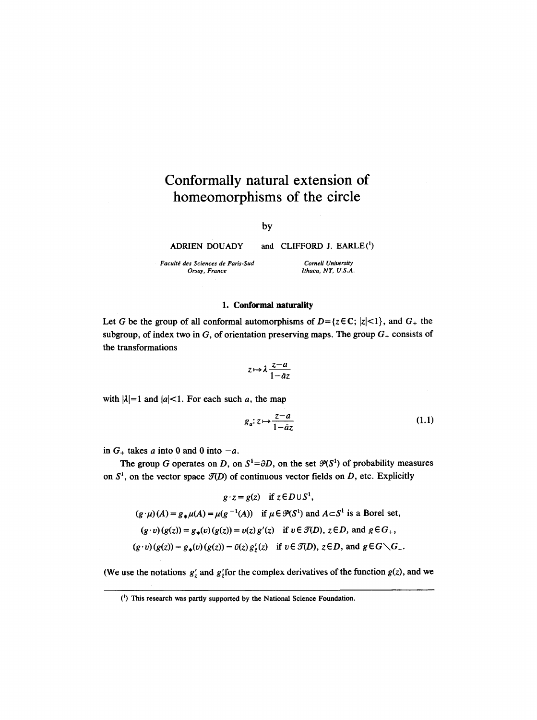# **Conformally natural extension of homeomorphisms of the circle**

by

ADRIEN DOUADY

and CLIFFORD J.  $EARLE<sup>(1)</sup>$ 

*CorneU University Ithaca, NY, U.S.A.* 

*Facult~ des Sciences de Paris-Sud Orsay, France* 

Let G be the group of all conformal automorphisms of  $D = \{z \in \mathbb{C}; |z| < 1\}$ , and  $G_{+}$  the subgroup, of index two in G, of orientation preserving maps. The group  $G_+$  consists of the transformations

1. Conformal naturality

$$
z \mapsto \lambda \frac{z-a}{1-\bar{a}z}
$$

with  $|\lambda|=1$  and  $|a|<1$ . For each such a, the map

$$
g_a: z \mapsto \frac{z-a}{1-\bar{a}z} \tag{1.1}
$$

in  $G_+$  takes a into 0 and 0 into  $-a$ .

The group G operates on D, on  $S^1 = \partial D$ , on the set  $\mathcal{P}(S^1)$  of probability measures on  $S^1$ , on the vector space  $\mathcal{T}(D)$  of continuous vector fields on D, etc. Explicitly

$$
g \cdot z = g(z) \quad \text{if } z \in D \cup S^1,
$$
  
( $g \cdot \mu$ )( $A$ ) =  $g_*\mu$ ( $A$ ) =  $\mu$ ( $g^{-1}(A)$ ) if  $\mu \in \mathcal{P}(S^1)$  and  $A \subset S^1$  is a Borel set,  
( $g \cdot v$ )( $g(z)$ ) =  $g_*(v)$ ( $g(z)$ ) =  $v(z) g'(z)$  if  $v \in \mathcal{F}(D)$ ,  $z \in D$ , and  $g \in G_+$ ,  
( $g \cdot v$ )( $g(z)$ ) =  $g_*(v)$ ( $g(z)$ ) =  $\bar{v}(z) g'_z(z)$  if  $v \in \mathcal{F}(D)$ ,  $z \in D$ , and  $g \in G \setminus G_+$ .

(We use the notations  $g'_z$  and  $g'_z$  for the complex derivatives of the function  $g(z)$ , and we

<sup>(1)</sup> This research was partly supported by the National Science Foundation.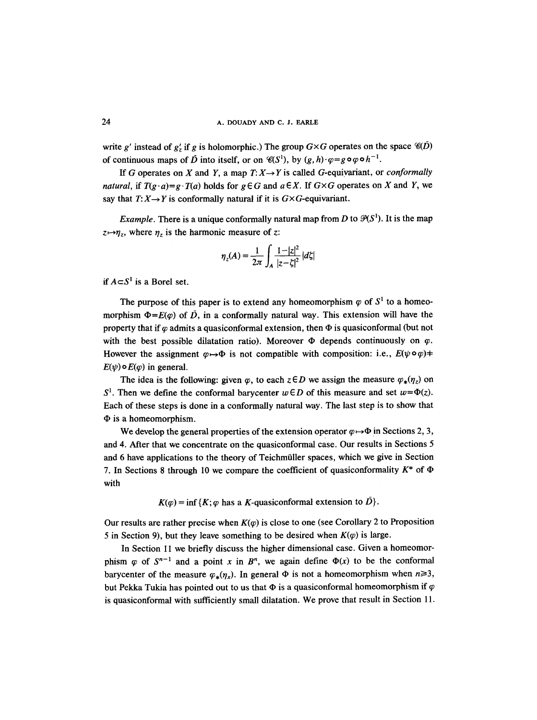write g' instead of  $g'_r$  if g is holomorphic.) The group  $G \times G$  operates on the space  $\mathcal{C}(D)$ of continuous maps of  $\bar{D}$  into itself, or on  $\mathscr{C}(S^1)$ , by  $(g, h) \cdot \varphi = g \circ \varphi \circ h^{-1}$ .

If G operates on X and Y, a map  $T: X \rightarrow Y$  is called G-equivariant, or *conformally natural, if*  $T(g \cdot a) = g \cdot T(a)$  holds for  $g \in G$  and  $a \in X$ . If  $G \times G$  operates on X and Y, we say that  $T: X \rightarrow Y$  is conformally natural if it is  $G \times G$ -equivariant.

*Example.* There is a unique conformally natural map from D to  $\mathcal{P}(S^1)$ . It is the map  $z \mapsto \eta_z$ , where  $\eta_z$  is the harmonic measure of z:

$$
\eta_z(A) = \frac{1}{2\pi} \int_A \frac{1 - |z|^2}{|z - \zeta|^2} |d\zeta|
$$

*if*  $A \subset S^1$  *is a Borel set.* 

The purpose of this paper is to extend any homeomorphism  $\varphi$  of  $S^1$  to a homeomorphism  $\Phi = E(\varphi)$  of  $\tilde{D}$ , in a conformally natural way. This extension will have the property that if  $\varphi$  admits a quasiconformal extension, then  $\Phi$  is quasiconformal (but not with the best possible dilatation ratio). Moreover  $\Phi$  depends continuously on  $\varphi$ . However the assignment  $\varphi \rightarrow \Phi$  is not compatible with composition: i.e.,  $E(\psi \circ \varphi)$   $\neq$  $E(\psi) \circ E(\varphi)$  in general.

The idea is the following: given  $\varphi$ , to each  $z \in D$  we assign the measure  $\varphi_*(\eta_z)$  on  $S<sup>1</sup>$ . Then we define the conformal barycenter  $w \in D$  of this measure and set  $w = \Phi(z)$ . Each of these steps is done in a conformally natural way. The last step is to show that  $\Phi$  is a homeomorphism.

We develop the general properties of the extension operator  $\varphi \mapsto \Phi$  in Sections 2, 3, and 4. After that we concentrate on the quasiconformal case. Our results in Sections 5 and 6 have applications to the theory of Teichmiiller spaces, which we give in Section 7. In Sections 8 through 10 we compare the coefficient of quasiconformality  $K^*$  of  $\Phi$ with

$$
K(\varphi) = \inf \{ K; \varphi \text{ has a } K\text{-quasiconformal extension to } \overline{D} \}.
$$

Our results are rather precise when  $K(\varphi)$  is close to one (see Corollary 2 to Proposition 5 in Section 9), but they leave something to be desired when  $K(\varphi)$  is large.

In Section 11 we briefly discuss the higher dimensional case. Given a homeomorphism  $\varphi$  of  $S^{n-1}$  and a point x in  $B^n$ , we again define  $\Phi(x)$  to be the conformal barycenter of the measure  $\varphi_*(\eta_x)$ . In general  $\Phi$  is not a homeomorphism when  $n \geq 3$ , but Pekka Tukia has pointed out to us that  $\Phi$  is a quasiconformal homeomorphism if  $\varphi$ is quasiconformal with sufficiently small dilatation. We prove that result in Section 11.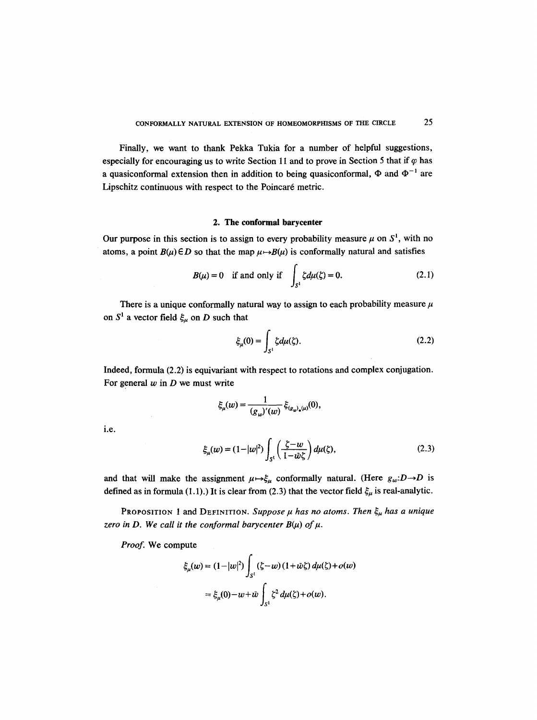Finally, we want to thank Pekka Tukia for a number of helpful suggestions, especially for encouraging us to write Section 11 and to prove in Section 5 that if  $\varphi$  has a quasiconformal extension then in addition to being quasiconformal,  $\Phi$  and  $\Phi^{-1}$  are Lipschitz continuous with respect to the Poincaré metric.

#### **2. The conformal barycenter**

Our purpose in this section is to assign to every probability measure  $\mu$  on  $S^1$ , with no atoms, a point  $B(u) \in D$  so that the map  $\mu \mapsto B(u)$  is conformally natural and satisfies

$$
B(\mu) = 0 \quad \text{if and only if} \quad \int_{S^1} \zeta d\mu(\zeta) = 0. \tag{2.1}
$$

There is a unique conformally natural way to assign to each probability measure  $\mu$ on  $S^1$  a vector field  $\xi_\mu$  on D such that

$$
\xi_{\mu}(0) = \int_{S^1} \zeta d\mu(\zeta). \tag{2.2}
$$

Indeed, formula (2.2) is equivariant with respect to rotations and complex conjugation. For general  $w$  in  $D$  we must write

$$
\xi_{\mu}(w) = \frac{1}{(g_w)'(w)} \xi_{(g_w)_*(\mu)}(0),
$$

i.e.

$$
\xi_{\mu}(w) = (1-|w|^2) \int_{S^1} \left(\frac{\zeta-w}{1-\bar{w}\zeta}\right) d\mu(\zeta),\tag{2.3}
$$

and that will make the assignment  $\mu \mapsto \xi_{\mu}$  conformally natural. (Here  $g_{\mu}: D \rightarrow D$  is defined as in formula (1.1).) It is clear from (2.3) that the vector field  $\xi_{\mu}$  is real-analytic.

PROPOSITION 1 and DEFINITION. Suppose  $\mu$  has no atoms. Then  $\xi_{\mu}$  has a unique zero in D. We call it the conformal barycenter  $B(\mu)$  of  $\mu$ .

*Proof.* We compute

$$
\xi_{\mu}(w) = (1 - |w|^2) \int_{S^1} (\zeta - w) (1 + \bar{w}\zeta) d\mu(\zeta) + o(w)
$$
  
=  $\xi_{\mu}(0) - w + \bar{w} \int_{S^1} \zeta^2 d\mu(\zeta) + o(w).$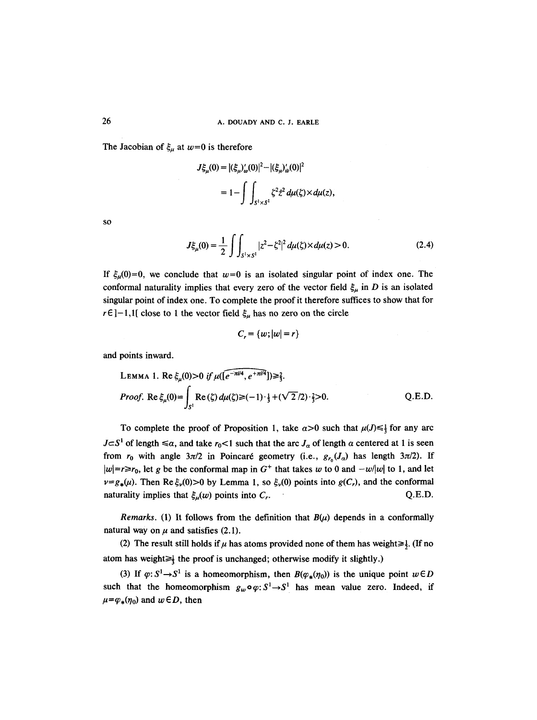The Jacobian of  $\xi_{\mu}$  at  $w=0$  is therefore

$$
J\xi_{\mu}(0) = |(\xi_{\mu})'_{\omega}(0)|^2 - |(\xi_{\mu})'_{\omega}(0)|^2
$$
  
=  $1 - \int \int_{S^1 \times S^1} \xi^2 z^2 d\mu(\xi) \times d\mu(z)$ 

SO

$$
J\xi_{\mu}(0) = \frac{1}{2} \int \int_{S^1 \times S^1} |z^2 - \zeta^2|^2 d\mu(\zeta) \times d\mu(z) > 0.
$$
 (2.4)

If  $\xi_u(0)=0$ , we conclude that  $w=0$  is an isolated singular point of index one. The conformal naturality implies that every zero of the vector field  $\xi_{\mu}$  in D is an isolated singular point of index one. To complete the proof it therefore suffices to show that for  $r \in ]-1,1[$  close to 1 the vector field  $\xi_{\mu}$  has no zero on the circle

$$
C_r = \{w; |w| = r\}
$$

and points inward.

LEMMA 1. Re 
$$
\xi_{\mu}(0) > 0
$$
 if  $\mu([\widehat{e^{-\pi i/4}}, e^{+\pi i/4}]) \ge \frac{2}{3}$ .  
\n*Proof.* Re  $\xi_{\mu}(0) = \int_{S^1} \text{Re}(\xi) d\mu(\xi) \ge (-1) \cdot \frac{1}{3} + (\sqrt{2}/2) \cdot \frac{2}{3} > 0$ . Q.E.D.

To complete the proof of Proposition 1, take  $\alpha > 0$  such that  $\mu(J) \leq \frac{1}{3}$  for any arc  $J\subset S^1$  of length  $\leq \alpha$ , and take  $r_0 < 1$  such that the arc  $J_\alpha$  of length  $\alpha$  centered at 1 is seen from  $r_0$  with angle  $3\pi/2$  in Poincaré geometry (i.e.,  $g_{r_0}(J_\alpha)$  has length  $3\pi/2$ ). If  $|w|=r\ge r_0$ , let g be the conformal map in  $G^+$  that takes w to 0 and  $-w/|w|$  to 1, and let  $v=g_*(\mu)$ . Then Re  $\xi_v(0)>0$  by Lemma 1, so  $\xi_v(0)$  points into  $g(C_r)$ , and the conformal naturality implies that  $\xi_u(w)$  points into  $C_r$ .  $Q.E.D.$ 

*Remarks.* (1) It follows from the definition that  $B(\mu)$  depends in a conformally natural way on  $\mu$  and satisfies (2.1).

(2) The result still holds if  $\mu$  has atoms provided none of them has weight $\geq \frac{1}{2}$ . (If no atom has weight $\geq$  the proof is unchanged; otherwise modify it slightly.)

(3) If  $\varphi: S^1 \to S^1$  is a homeomorphism, then  $B(\varphi_*(\eta_0))$  is the unique point  $w \in D$ such that the homeomorphism  $g_w \circ q: S^1 \to S^1$  has mean value zero. Indeed, if  $\mu = \varphi_*(\eta_0)$  and  $w \in D$ , then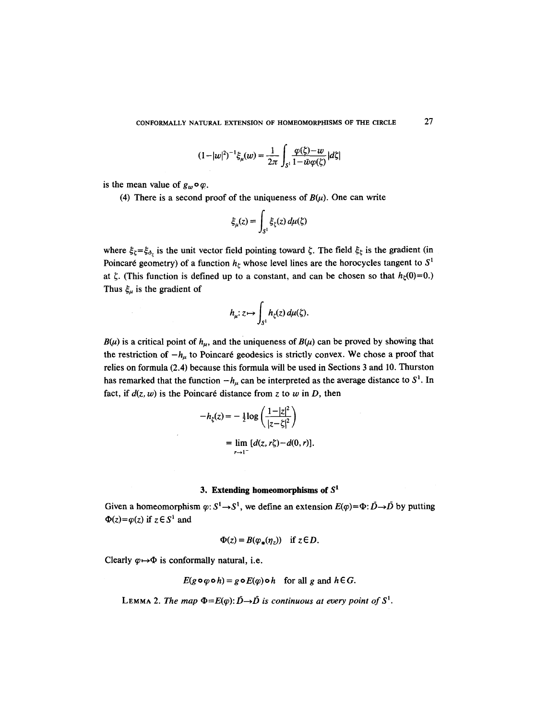$$
(1-|w|^2)^{-1}\xi_{\mu}(w) = \frac{1}{2\pi} \int_{S^1} \frac{\varphi(\xi)-w}{1-\bar{w}\varphi(\xi)} |d\xi|
$$

is the mean value of  $g_w \circ \varphi$ .

(4) There is a second proof of the uniqueness of  $B(\mu)$ . One can write

$$
\xi_{\mu}(z) = \int_{S^1} \xi_{\zeta}(z) d\mu(\zeta)
$$

where  $\xi_{\zeta} = \xi_{\delta_{\zeta}}$  is the unit vector field pointing toward  $\zeta$ . The field  $\xi_{\zeta}$  is the gradient (in Poincaré geometry) of a function  $h_{\zeta}$  whose level lines are the horocycles tangent to  $S^1$ at  $\zeta$ . (This function is defined up to a constant, and can be chosen so that  $h_{\zeta}(0)=0$ .) Thus  $\xi_{\mu}$  is the gradient of

$$
h_{\mu}: z \mapsto \int_{S^1} h_{\zeta}(z) d\mu(\zeta).
$$

 $B(\mu)$  is a critical point of  $h_{\mu}$ , and the uniqueness of  $B(\mu)$  can be proved by showing that the restriction of  $-h_{\mu}$  to Poincaré geodesics is strictly convex. We chose a proof that relies on formula (2.4) because this formula will be used in Sections 3 and 10. Thurston has remarked that the function  $-h_{\mu}$  can be interpreted as the average distance to  $S^1$ . In fact, if  $d(z, w)$  is the Poincaré distance from z to w in D, then

$$
-h_{\xi}(z) = -\frac{1}{2}\log\left(\frac{1-|z|^2}{|z-\xi|^2}\right)
$$
  
= 
$$
\lim_{r\to 1^-} [d(z,r\xi)-d(0,r)].
$$

#### 3. Extending homeomorphisms of  $S<sup>1</sup>$

Given a homeomorphism  $\varphi: S^1 \to S^1$ , we define an extension  $E(\varphi) = \Phi: \vec{D} \to \vec{D}$  by putting  $\Phi(z) = \varphi(z)$  if  $z \in S^1$  and

$$
\Phi(z) = B(\varphi_*(\eta_z)) \quad \text{if } z \in D.
$$

Clearly  $\varphi \mapsto \Phi$  is conformally natural, i.e.

$$
E(g \circ \varphi \circ h) = g \circ E(\varphi) \circ h \quad \text{for all } g \text{ and } h \in G.
$$

LEMMA 2. *The map*  $\Phi = E(\varphi): \overrightarrow{D} \to \overrightarrow{D}$  *is continuous at every point of*  $S^1$ .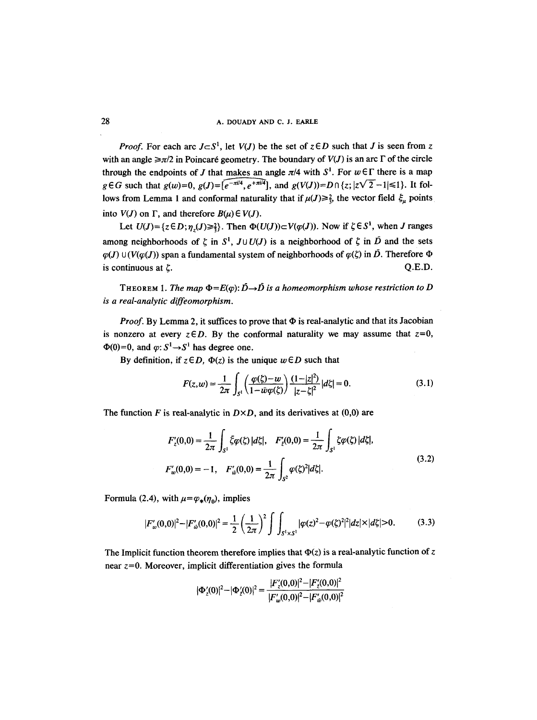*Proof.* For each arc  $J \subset S^1$ , let  $V(J)$  be the set of  $z \in D$  such that J is seen from z with an angle  $\geq \pi/2$  in Poincaré geometry. The boundary of  $V(J)$  is an arc  $\Gamma$  of the circle through the endpoints of J that makes an angle  $\pi/4$  with  $S^1$ . For  $w \in \Gamma$  there is a map  $g \in G$  such that  $g(w)=0$ ,  $g(J)=[e^{-\pi i/4}, e^{+\pi i/4}],$  and  $g(V(J))=D \cap \{z; |z\sqrt{2}-1| \leq 1\}$ . It follows from Lemma 1 and conformal naturality that if  $\mu(J) \geq \frac{2}{3}$ , the vector field  $\zeta_u$  points into  $V(J)$  on  $\Gamma$ , and therefore  $B(\mu) \in V(J)$ .

Let  $U(J) = \{z \in D; \eta_z(J) \geq \frac{2}{3}\}.$  Then  $\Phi(U(J)) \subset V(\varphi(J))$ . Now if  $\zeta \in S^1$ , when J ranges among neighborhoods of  $\zeta$  in  $S^1$ ,  $J \cup U(J)$  is a neighborhood of  $\zeta$  in  $\overline{D}$  and the sets  $\varphi$ (*J*)  $\cup$  ( $V(\varphi$ (*J*)) span a fundamental system of neighborhoods of  $\varphi$ ( $\zeta$ ) in  $\overline{D}$ . Therefore  $\Phi$ is continuous at  $\zeta$ . Q.E.D.

THEOREM 1. *The map*  $\Phi = E(\varphi)$ :  $\overrightarrow{D} \to \overrightarrow{D}$  *is a homeomorphism whose restriction to D is a real-analytic diffeomorphism.* 

*Proof.* By Lemma 2, it suffices to prove that  $\Phi$  is real-analytic and that its Jacobian is nonzero at every  $z \in D$ . By the conformal naturality we may assume that  $z=0$ ,  $\Phi(0)=0$ , and  $\varphi: S^1 \rightarrow S^1$  has degree one.

By definition, if  $z \in D$ ,  $\Phi(z)$  is the unique  $w \in D$  such that

$$
F(z, w) = \frac{1}{2\pi} \int_{S^1} \left( \frac{\varphi(\zeta) - w}{1 - w\varphi(\zeta)} \right) \frac{(1 - |z|^2)}{|z - \zeta|^2} |d\zeta| = 0.
$$
 (3.1)

The function F is real-analytic in  $D \times D$ , and its derivatives at (0,0) are

$$
F'_{z}(0,0) = \frac{1}{2\pi} \int_{S^1} \xi \varphi(\xi) |d\xi|, \quad F'_{z}(0,0) = \frac{1}{2\pi} \int_{S^1} \xi \varphi(\xi) |d\xi|,
$$
  

$$
F'_{w}(0,0) = -1, \quad F'_{w}(0,0) = \frac{1}{2\pi} \int_{S^2} \varphi(\xi)^2 |d\xi|.
$$
 (3.2)

Formula (2.4), with  $\mu = \varphi_*(\eta_0)$ , implies

$$
|F'_{w}(0,0)|^{2} - |F'_{w}(0,0)|^{2} = \frac{1}{2} \left(\frac{1}{2\pi}\right)^{2} \int \int_{S^{1} \times S^{1}} |\varphi(z)|^{2} - \varphi(\zeta)^{2}|^{2} |dz|^{2} |dz|^{2} |0. \tag{3.3}
$$

The Implicit function theorem therefore implies that  $\Phi(z)$  is a real-analytic function of z near  $z=0$ . Moreover, implicit differentiation gives the formula

$$
|\Phi_z'(0)|^2 - |\Phi_z'(0)|^2 = \frac{|F_z'(0,0)|^2 - |F_z'(0,0)|^2}{|F_w'(0,0)|^2 - |F_w'(0,0)|^2}
$$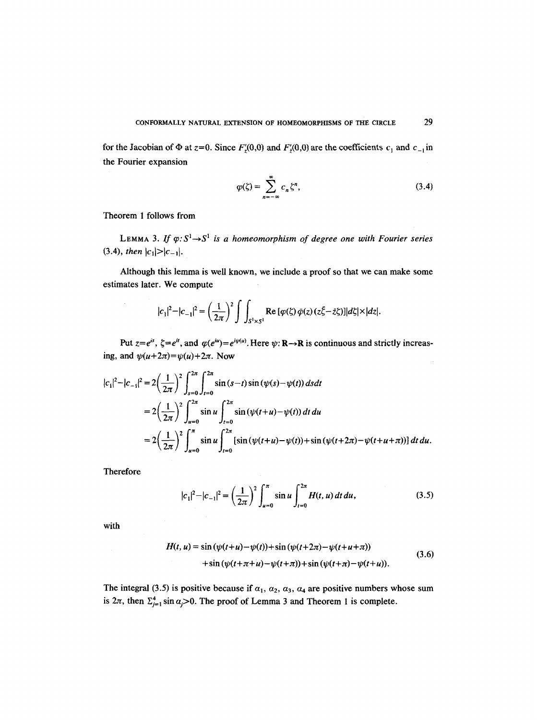for the Jacobian of  $\Phi$  at  $z=0$ . Since  $F'(0,0)$  and  $F'(0,0)$  are the coefficients  $c_1$  and  $c_{-1}$  in the Fourier expansion

$$
\varphi(\zeta) = \sum_{n=-\infty}^{\infty} c_n \zeta^n,\tag{3.4}
$$

Theorem 1 follows from

LEMMA 3. If  $\varphi: S^1 \rightarrow S^1$  is a homeomorphism of degree one with Fourier series (3.4), *then*  $|c_1|>|c_{-1}|$ .

Although this lemma is well known, we include a proof so that we can make some estimates later. We compute

$$
|c_1|^2-|c_{-1}|^2=\left(\frac{1}{2\pi}\right)^2\int\int_{S^1\times S^1}\text{Re}\left[\varphi(\zeta)\,\bar{\varphi}(z)(z\bar{\zeta}-\bar{z}\zeta)\right]|d\zeta|\times|dz|.
$$

Put  $z=e^{is}$ ,  $\zeta=e^{it}$ , and  $\varphi(e^{iu})=e^{i\psi(u)}$ . Here  $\psi: \mathbb{R} \to \mathbb{R}$  is continuous and strictly increasing, and  $\psi(u+2\pi)=\psi(u)+2\pi$ . Now

$$
|c_1|^2 - |c_{-1}|^2 = 2\left(\frac{1}{2\pi}\right)^2 \int_{s=0}^{2\pi} \int_{t=0}^{2\pi} \sin(s-t) \sin(\psi(s) - \psi(t)) ds dt
$$
  
=  $2\left(\frac{1}{2\pi}\right)^2 \int_{u=0}^{2\pi} \sin u \int_{t=0}^{2\pi} \sin(\psi(t+u) - \psi(t)) dt du$   
=  $2\left(\frac{1}{2\pi}\right)^2 \int_{u=0}^{\pi} \sin u \int_{t=0}^{2\pi} [\sin(\psi(t+u) - \psi(t)) + \sin(\psi(t+2\pi) - \psi(t+u+\pi))] dt du.$ 

Therefore

$$
|c_1|^2 - |c_{-1}|^2 = \left(\frac{1}{2\pi}\right)^2 \int_{u=0}^{\pi} \sin u \int_{t=0}^{2\pi} H(t, u) dt du,
$$
 (3.5)

with

$$
H(t, u) = \sin(\psi(t+u) - \psi(t)) + \sin(\psi(t+2\pi) - \psi(t+u+\pi))
$$
  
+ 
$$
\sin(\psi(t+\pi+u) - \psi(t+\pi)) + \sin(\psi(t+\pi) - \psi(t+u)).
$$
 (3.6)

The integral (3.5) is positive because if  $\alpha_1$ ,  $\alpha_2$ ,  $\alpha_3$ ,  $\alpha_4$  are positive numbers whose sum is  $2\pi$ , then  $\Sigma_{j=1}^4$  sin  $\alpha_j > 0$ . The proof of Lemma 3 and Theorem 1 is complete.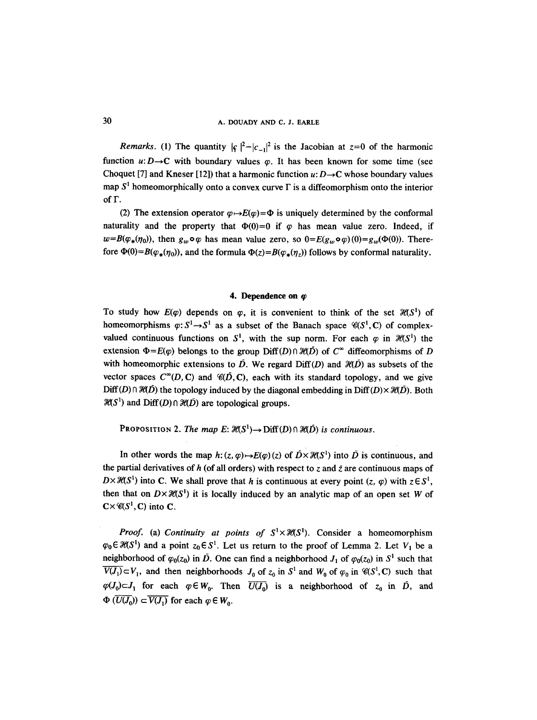*Remarks.* (1) The quantity  $|\varsigma|^2 - |c_{-1}|^2$  is the Jacobian at  $z=0$  of the harmonic function  $u: D \rightarrow C$  with boundary values  $\varphi$ . It has been known for some time (see Choquet [7] and Kneser [12]) that a harmonic function  $u: D \rightarrow C$  whose boundary values map  $S<sup>1</sup>$  homeomorphically onto a convex curve  $\Gamma$  is a diffeomorphism onto the interior of  $\Gamma$ .

(2) The extension operator  $\varphi \mapsto E(\varphi) = \Phi$  is uniquely determined by the conformal naturality and the property that  $\Phi(0)=0$  if  $\varphi$  has mean value zero. Indeed, if  $w=B(\varphi_*(\eta_0))$ , then  $g_w\circ\varphi$  has mean value zero, so  $0=E(g_w\circ\varphi)(0)=g_w(\Phi(0))$ . Therefore  $\Phi(0) = B(\varphi_{\star}(\eta_0))$ , and the formula  $\Phi(z) = B(\varphi_{\star}(\eta_2))$  follows by conformal naturality.

#### **4. Dependence on**  $\varphi$

To study how  $E(\varphi)$  depends on  $\varphi$ , it is convenient to think of the set  $\mathcal{H}(S^1)$  of homeomorphisms  $\varphi: S^1 \rightarrow S^1$  as a subset of the Banach space  $\mathscr{C}(S^1, \mathbb{C})$  of complexvalued continuous functions on  $S^1$ , with the sup norm. For each  $\varphi$  in  $\mathcal{H}(S^1)$  the extension  $\Phi=E(\varphi)$  belongs to the group Diff(D)  $\partial \mathcal{H}(D)$  of  $C^{\infty}$  diffeomorphisms of D with homeomorphic extensions to  $\vec{D}$ . We regard Diff(D) and  $\mathcal{H}(\vec{D})$  as subsets of the vector spaces  $C^{\infty}(D, C)$  and  $\mathcal{C}(D, C)$ , each with its standard topology, and we give  $Diff(D) \cap \mathcal{H}(D)$  the topology induced by the diagonal embedding in Diff(D) $\times \mathcal{H}(D)$ . Both  $\mathcal{H}(S^1)$  and  $\text{Diff}(D) \cap \mathcal{H}(D)$  are topological groups.

PROPOSITION 2. *The map E:*  $\mathcal{H}(S^1) \rightarrow \text{Diff}(D) \cap \mathcal{H}(D)$  *is continuous.* 

In other words the map  $h: (z, \varphi) \rightarrow E(\varphi)(z)$  of  $\tilde{D} \times \mathcal{H}(S^1)$  into  $\tilde{D}$  is continuous, and the partial derivatives of h (of all orders) with respect to z and  $\bar{z}$  are continuous maps of  $D\times\mathcal{H}(S^1)$  into C. We shall prove that h is continuous at every point  $(z, \varphi)$  with  $z\in S^1$ , then that on  $D\times\mathcal{H}(S^1)$  it is locally induced by an analytic map of an open set W of  $C \times \mathcal{C}(S^1, C)$  into C.

*Proof.* (a) *Continuity at points of*  $S^1 \times \mathcal{H}(S^1)$ . Consider a homeomorphism  $\varphi_0 \in \mathcal{H}(S^1)$  and a point  $z_0 \in S^1$ . Let us return to the proof of Lemma 2. Let  $V_1$  be a neighborhood of  $\varphi_0(z_0)$  in  $\overline{D}$ . One can find a neighborhood  $J_1$  of  $\varphi_0(z_0)$  in  $S^1$  such that  $\overline{V(J_1)} \subset V_1$ , and then neighborhoods  $J_0$  of  $z_0$  in  $S^1$  and  $W_0$  of  $\varphi_0$  in  $\mathscr{C}(S^1, \mathbb{C})$  such that  $\varphi(J_0) \subset J_1$  for each  $\varphi \in W_0$ . Then  $\overline{U(J_0)}$  is a neighborhood of  $z_0$  in  $\overline{D}$ , and  $\Phi(\overline{U(J_0)}) \subset \overline{V(J_1)}$  for each  $\varphi \in W_0$ .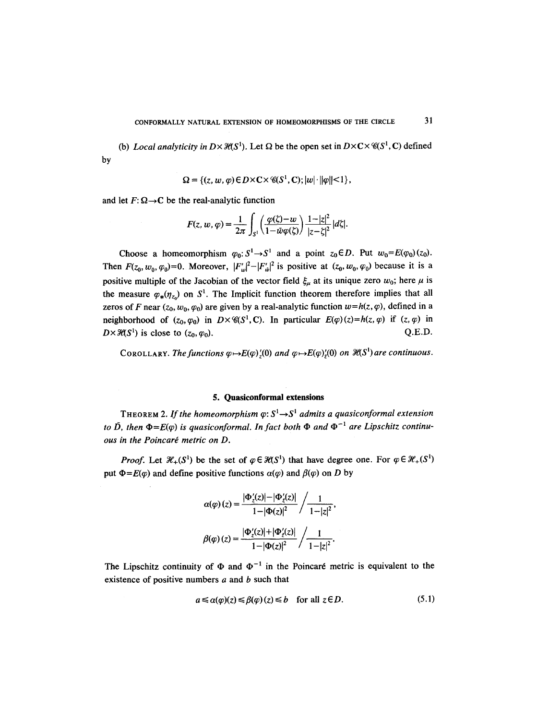(b) *Local analyticity in*  $D \times \mathcal{H}(S^1)$ . Let  $\Omega$  be the open set in  $D \times C \times \mathcal{C}(S^1, C)$  defined by

$$
\Omega = \{ (z, w, \varphi) \in D \times C \times \mathcal{C}(S^1, C); |w| \cdot ||\varphi|| < 1 \},\
$$

and let  $F: \Omega \rightarrow C$  be the real-analytic function

$$
F(z, w, \varphi) = \frac{1}{2\pi} \int_{S^1} \left( \frac{\varphi(\zeta) - w}{1 - \bar{w}\varphi(\zeta)} \right) \frac{1 - |z|^2}{|z - \zeta|^2} |d\zeta|.
$$

Choose a homeomorphism  $\varphi_0: S^1 \to S^1$  and a point  $z_0 \in D$ . Put  $w_0 = E(\varphi_0)(z_0)$ . Then  $F(z_0, w_0, \varphi_0)=0$ . Moreover,  $|F'_w|^2-|F'_w|^2$  is positive at  $(z_0, w_0, \varphi_0)$  because it is a positive multiple of the Jacobian of the vector field  $\xi_{\mu}$  at its unique zero  $w_0$ ; here  $\mu$  is the measure  $\varphi_{*}(\eta_{z})$  on  $S^1$ . The Implicit function theorem therefore implies that all zeros of F near  $(z_0, w_0, \varphi_0)$  are given by a real-analytic function  $w=h(z, \varphi)$ , defined in a neighborhood of  $(z_0, \varphi_0)$  in  $D \times \mathcal{C}(S^1, C)$ . In particular  $E(\varphi)(z) = h(z, \varphi)$  if  $(z, \varphi)$  in  $D\times\mathcal{H}(S^1)$  is close to  $(z_0, \varphi_0)$ . Q.E.D.

COROLLARY. *The functions*  $\varphi \rightarrow E(\varphi)'(0)$  *and*  $\varphi \rightarrow E(\varphi)'(0)$  *on*  $\mathcal{H}(S^1)$  *are continuous.* 

#### **5. Quasiconformal extensions**

THEOREM 2. If the homeomorphism  $\varphi: S^1 \rightarrow S^1$  admits a quasiconformal extension *to*  $\bar{D}$ , then  $\Phi = E(\varphi)$  *is quasiconformal. In fact both*  $\Phi$  *and*  $\Phi^{-1}$  *are Lipschitz continu* $ous$  in the Poincaré metric on D.

*Proof.* Let  $\mathcal{H}_+(S^1)$  be the set of  $\varphi \in \mathcal{H}(S^1)$  that have degree one. For  $\varphi \in \mathcal{H}_+(S^1)$ put  $\Phi=E(\varphi)$  and define positive functions  $\alpha(\varphi)$  and  $\beta(\varphi)$  on D by

$$
\alpha(\varphi)(z) = \frac{|\Phi'_z(z)| - |\Phi'_z(z)|}{1 - |\Phi(z)|^2} / \frac{1}{1 - |z|^2},
$$

$$
\beta(\varphi)(z) = \frac{|\Phi'_z(z)| + |\Phi'_z(z)|}{1 - |\Phi(z)|^2} / \frac{1}{1 - |z|^2}.
$$

The Lipschitz continuity of  $\Phi$  and  $\Phi^{-1}$  in the Poincaré metric is equivalent to the existence of positive numbers  $a$  and  $b$  such that

$$
a \leq \alpha(\varphi)(z) \leq \beta(\varphi)(z) \leq b \quad \text{for all } z \in D. \tag{5.1}
$$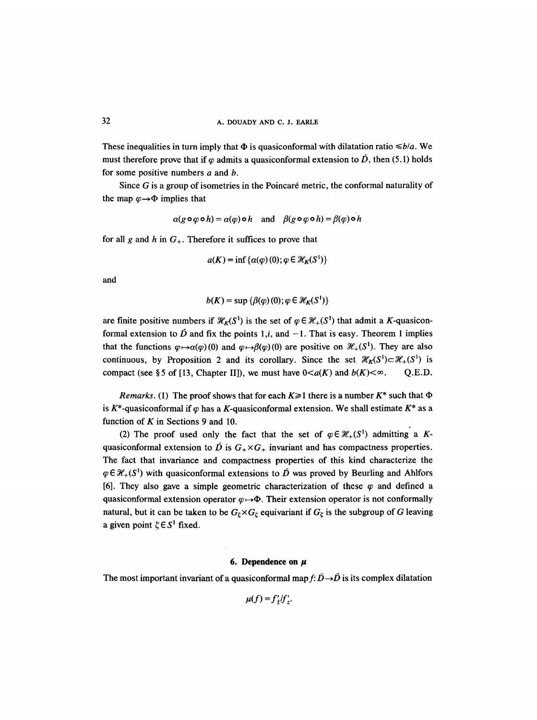These inequalities in turn imply that  $\Phi$  is quasiconformal with dilatation ratio  $\leq b/a$ . We must therefore prove that if  $\varphi$  admits a quasiconformal extension to  $\vec{D}$ , then (5.1) holds for some positive numbers  $a$  and  $b$ .

Since  $G$  is a group of isometries in the Poincaré metric, the conformal naturality of the map  $\varphi \rightarrow \Phi$  implies that

$$
\alpha(g \circ \varphi \circ h) = \alpha(\varphi) \circ h \quad \text{and} \quad \beta(g \circ \varphi \circ h) = \beta(\varphi) \circ h
$$

for all g and h in  $G<sub>+</sub>$ . Therefore it suffices to prove that

$$
a(K) = \inf \{ \alpha(\varphi)(0) ; \varphi \in \mathcal{H}_K(S^1) \}
$$

and

$$
b(K) = \sup \{ \beta(\varphi)(0); \varphi \in \mathcal{H}_K(S^1) \}
$$

are finite positive numbers if  $\mathcal{H}_k(S^1)$  is the set of  $\varphi \in \mathcal{H}_+(S^1)$  that admit a K-quasiconformal extension to  $\bar{D}$  and fix the points 1,i, and  $-1$ . That is easy. Theorem 1 implies that the functions  $\varphi \mapsto \alpha(\varphi)(0)$  and  $\varphi \mapsto \beta(\varphi)(0)$  are positive on  $\mathcal{H}_+(S^1)$ . They are also continuous, by Proposition 2 and its corollary. Since the set  $\mathcal{H}_k(S^1) \subset \mathcal{H}_+(S^1)$  is compact (see § 5 of [13, Chapter II]), we must have  $0 \lt a(K)$  and  $b(K) \lt \infty$ . Q.E.D.

*Remarks.* (1) The proof shows that for each  $K \ge 1$  there is a number  $K^*$  such that  $\Phi$ is K\*-quasiconformal if  $\varphi$  has a K-quasiconformal extension. We shall estimate K\* as a function of  $K$  in Sections 9 and 10.

(2) The proof used only the fact that the set of  $\varphi \in \mathcal{H}_+(S^1)$  admitting a Kquasiconformal extension to  $\overrightarrow{D}$  is  $G_{+} \times G_{+}$  invariant and has compactness properties. The fact that invariance and compactness properties of this kind characterize the  $\varphi \in \mathcal{H}_+(S^1)$  with quasiconformal extensions to  $\overline{D}$  was proved by Beurling and Ahlfors [6]. They also gave a simple geometric characterization of these  $\varphi$  and defined a quasiconformal extension operator  $\varphi \mapsto \Phi$ . Their extension operator is not conformally natural, but it can be taken to be  $G_{\zeta} \times G_{\zeta}$  equivariant if  $G_{\zeta}$  is the subgroup of G leaving a given point  $\xi \in S^1$  fixed.

### **6.** Dependence on  $\mu$

The most important invariant of a quasiconformal map  $f: \overline{D} \rightarrow \overline{D}$  is its complex dilatation

 $\mu(f) = f'_{\tau}/f'_{\tau}$ .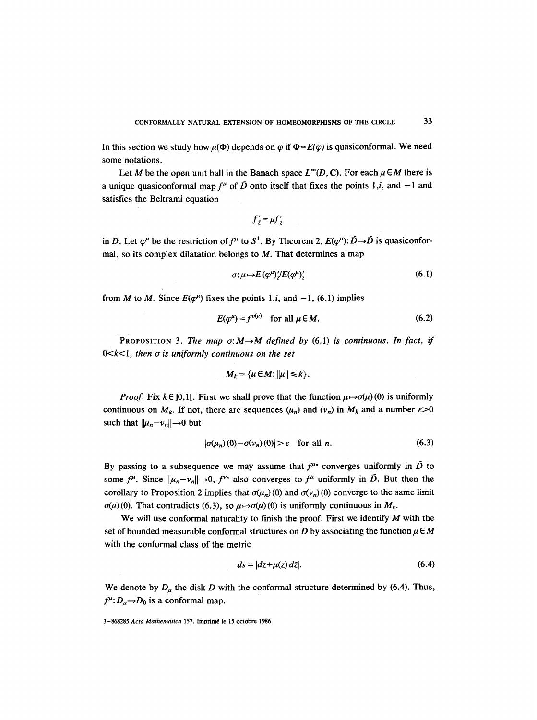In this section we study how  $\mu(\Phi)$  depends on  $\varphi$  if  $\Phi = E(\varphi)$  is quasiconformal. We need some notations.

Let M be the open unit ball in the Banach space  $L^{\infty}(D, \mathbb{C})$ . For each  $\mu \in M$  there is **a** unique quasiconformal map  $f^{\mu}$  of  $\overrightarrow{D}$  onto itself that fixes the points 1,i, and -1 and satisfies the Beltrami equation

$$
f'_{\bar{z}} = \mu f'_{z}
$$

in D. Let  $\varphi^{\mu}$  be the restriction of  $f^{\mu}$  to  $S^1$ . By Theorem 2,  $E(\varphi^{\mu})$ :  $\bar{D} \rightarrow \bar{D}$  is quasiconformal, so its complex dilatation belongs to  $M$ . That determines a map

$$
\sigma: \mu \mapsto E(\varphi^{\mu})/E(\varphi^{\mu})'_{z} \tag{6.1}
$$

from M to M. Since  $E(q^{\mu})$  fixes the points 1,*i*, and -1, (6.1) implies

$$
E(\varphi^{\mu}) = f^{\sigma(\mu)} \quad \text{for all } \mu \in M. \tag{6.2}
$$

PROPOSITION 3. The map  $\sigma: M \rightarrow M$  defined by (6.1) is continuous. In fact, if 0<k< 1, *then o is uniformly continuous on the set* 

$$
M_k = \{\mu \in M; ||\mu|| \leq k\}.
$$

*Proof.* Fix  $k \in [0,1]$ . First we shall prove that the function  $\mu \mapsto \sigma(\mu)(0)$  is uniformly continuous on  $M_k$ . If not, there are sequences  $(\mu_n)$  and  $(\nu_n)$  in  $M_k$  and a number  $\varepsilon > 0$ such that  $||\mu_n-\nu_n||\rightarrow 0$  but

$$
|\sigma(\mu_n)(0) - \sigma(\nu_n)(0)| > \varepsilon \quad \text{for all } n. \tag{6.3}
$$

By passing to a subsequence we may assume that  $f^{\mu_n}$  converges uniformly in  $\overline{D}$  to some  $f^{\mu}$ . Since  $||\mu_n - \nu_n|| \to 0$ ,  $f^{\nu_n}$  also converges to  $f^{\mu}$  uniformly in  $\bar{D}$ . But then the corollary to Proposition 2 implies that  $\sigma(\mu_n)(0)$  and  $\sigma(\nu_n)(0)$  converge to the same limit  $\sigma(\mu)(0)$ . That contradicts (6.3), so  $\mu \mapsto \sigma(\mu)(0)$  is uniformly continuous in  $M_k$ .

We will use conformal naturality to finish the proof. First we identify  $M$  with the set of bounded measurable conformal structures on D by associating the function  $\mu \in M$ with the conformal class of the metric

$$
ds = |dz + \mu(z) dz|.
$$
 (6.4)

We denote by  $D_{\mu}$  the disk D with the conformal structure determined by (6.4). Thus,  $f^{\mu}: D_{\mu} \rightarrow D_0$  is a conformal map.

<sup>3-868285</sup> *Acta Mathematica* 157. Imprim6 le 15 octobre 1986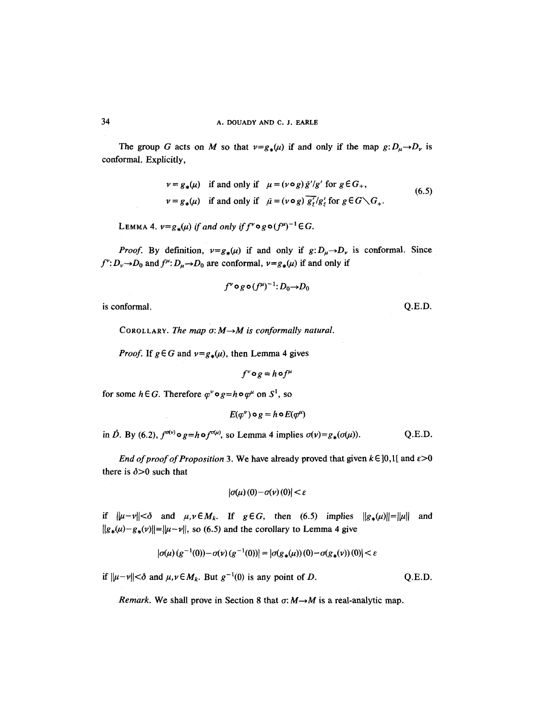The group G acts on M so that  $v=g_*(\mu)$  if and only if the map  $g: D_\mu \to D_\nu$  is conformal. Explicitly,

$$
\nu = g_*(\mu) \quad \text{if and only if} \quad \mu = (\nu \circ g) \bar{g}'/g' \text{ for } g \in G_+,
$$
  

$$
\nu = g_*(\mu) \quad \text{if and only if} \quad \bar{\mu} = (\nu \circ g) \overline{g'_t}/g'_t \text{ for } g \in G \setminus G_+.
$$
 (6.5)

LEMMA 4.  $v=g_*(\mu)$  *if and only if*  $f^v \circ g \circ (f^{\mu})^{-1} \in G$ .

*Proof.* By definition,  $v = g_*(\mu)$  if and only if  $g: D_{\mu} \to D_{\nu}$  is conformal. Since  $f^{\nu}: D_{\nu} \to D_0$  and  $f^{\mu}: D_{\mu} \to D_0$  are conformal,  $\nu = g_*(\mu)$  if and only if

$$
f^{\nu} \mathop{\rm o}\nolimits g \mathop{\rm o}\nolimits (f^{\mu})^{-1} \mathop{:} D_0 {\rightarrow} D_0
$$

is conformal. Q.E.D.

COROLLARY. *The map*  $\sigma$ *: M -> M* is conformally natural.

*Proof.* If  $g \in G$  and  $v = g_*(\mu)$ , then Lemma 4 gives

 $f^{\nu} \circ g = h \circ f^{\mu}$ 

for some  $h \in G$ . Therefore  $\varphi^{\nu} \circ g = h \circ \varphi^{\mu}$  on  $S^{1}$ , so

$$
E(\varphi^{\nu}) \circ g = h \circ E(\varphi^{\mu})
$$

in  $\tilde{D}$ . By (6.2),  $f^{\sigma(\nu)} \circ g = h \circ f^{\sigma(\mu)}$ , so Lemma 4 implies  $\sigma(\nu) = g_*(\sigma(\mu))$ . Q.E.D.

*End of proof of Proposition* 3. We have already proved that given  $k \in ]0,1[$  and  $\varepsilon > 0$ there is  $\delta > 0$  such that

$$
|\sigma(\mu)(0)-\sigma(\nu)(0)|<\varepsilon
$$

if  $\|\mu-\nu\|<\delta$  and  $\mu, \nu \in M_k$ . If  $g \in G$ , then (6.5) implies  $\|g_*(\mu)\|=\|\mu\|$  and  $||g_*(\mu)-g_*(\nu)||=||\mu-\nu||$ , so (6.5) and the corollary to Lemma 4 give

$$
|\sigma(\mu)(g^{-1}(0)) - \sigma(\nu)(g^{-1}(0))| = |\sigma(g_*(\mu))(0) - \sigma(g_*(\nu))(0)| < \varepsilon
$$

if  $\|\mu-\nu\|\leq \delta$  and  $\mu,\nu \in M_k$ . But  $g^{-1}(0)$  is any point of D. Q.E.D.

*Remark.* We shall prove in Section 8 that  $\sigma: M \rightarrow M$  is a real-analytic map.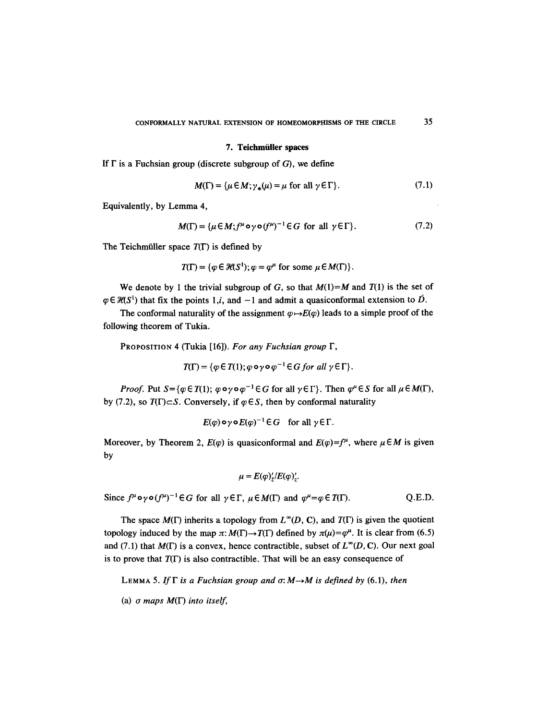#### **7. Teichmiiller spaces**

If  $\Gamma$  is a Fuchsian group (discrete subgroup of G), we define

$$
M(\Gamma) = {\mu \in M; \gamma_*(\mu) = \mu \text{ for all } \gamma \in \Gamma}.
$$
 (7.1)

Equivalently, by Lemma 4,

$$
M(\Gamma) = {\mu \in M; f^{\mu} \circ \gamma \circ (f^{\mu})^{-1} \in G \text{ for all } \gamma \in \Gamma}.
$$
 (7.2)

The Teichmüller space  $T(\Gamma)$  is defined by

$$
T(\Gamma) = \{ \varphi \in \mathcal{H}(S^1) ; \varphi = \varphi^{\mu} \text{ for some } \mu \in M(\Gamma) \}.
$$

We denote by 1 the trivial subgroup of G, so that  $M(1)=M$  and  $T(1)$  is the set of  $\varphi \in \mathcal{H}(S^1)$  that fix the points 1,i, and  $-1$  and admit a quasiconformal extension to  $\overline{D}$ .

The conformal naturality of the assignment  $\varphi \mapsto E(\varphi)$  leads to a simple proof of the following theorem of Tukia.

PROPOSITION 4 (Tukia [16]). *For any Fuchsian group F,* 

$$
T(\Gamma) = \{ \varphi \in T(1); \varphi \circ \gamma \circ \varphi^{-1} \in G \text{ for all } \gamma \in \Gamma \}.
$$

*Proof.* Put  $S = \{ \varphi \in T(1); \varphi \circ \varphi \circ \varphi^{-1} \in G \text{ for all } \gamma \in \Gamma \}$ . Then  $\varphi^{\mu} \in S$  for all  $\mu \in M(\Gamma)$ , by (7.2), so  $T(\Gamma) \subset S$ . Conversely, if  $\varphi \in S$ , then by conformal naturality

$$
E(\varphi) \circ \gamma \circ E(\varphi)^{-1} \in G \quad \text{for all } \gamma \in \Gamma.
$$

Moreover, by Theorem 2,  $E(\varphi)$  is quasiconformal and  $E(\varphi)=f^{\mu}$ , where  $\mu \in M$  is given by

$$
\mu = E(\varphi)_z^{\prime}/E(\varphi)_z^{\prime}.
$$

Since  $f^{\mu} \circ \gamma \circ (f^{\mu})^{-1} \in G$  for all  $\gamma \in \Gamma$ ,  $\mu \in M(\Gamma)$  and  $\varphi^{\mu} = \varphi \in T(\Gamma)$ . Q.E.D.

The space  $M(\Gamma)$  inherits a topology from  $L^{\infty}(D, C)$ , and  $T(\Gamma)$  is given the quotient topology induced by the map  $\pi: M(\Gamma) \to T(\Gamma)$  defined by  $\pi(\mu) = \varphi^{\mu}$ . It is clear from (6.5) and (7.1) that  $M(\Gamma)$  is a convex, hence contractible, subset of  $L^{\infty}(D, C)$ . Our next goal is to prove that  $T(\Gamma)$  is also contractible. That will be an easy consequence of

**LEMMA 5.** If  $\Gamma$  is a Fuchsian group and  $\sigma: M \rightarrow M$  is defined by (6.1), then

(a) a *maps* M(F) *into itself,*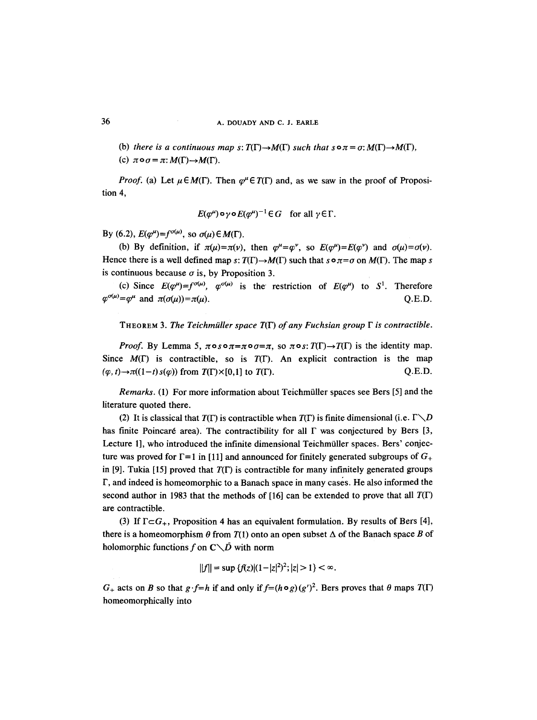(b) *there is a continuous map s:*  $T(\Gamma) \rightarrow M(\Gamma)$  *such that s* $\circ \pi = \sigma: M(\Gamma) \rightarrow M(\Gamma)$ ,

(c)  $\pi \circ \sigma = \pi : M(\Gamma) \rightarrow M(\Gamma)$ .

*Proof.* (a) Let  $\mu \in M(\Gamma)$ . Then  $\varphi$ <sup> $\mu \in T(\Gamma)$  and, as we saw in the proof of Proposi-</sup> tion 4,

$$
E(\varphi^{\mu}) \circ \gamma \circ E(\varphi^{\mu})^{-1} \in G \quad \text{for all } \gamma \in \Gamma.
$$

By (6.2),  $E(\varphi^{\mu}) = f^{\sigma(\mu)}$ , so  $\sigma(\mu) \in M(\Gamma)$ .

(b) By definition, if  $\pi(\mu) = \pi(\nu)$ , then  $\varphi^{\mu} = \varphi^{\nu}$ , so  $E(\varphi^{\mu}) = E(\varphi^{\nu})$  and  $\sigma(\mu) = \sigma(\nu)$ . Hence there is a well defined map s:  $T(\Gamma) \rightarrow M(\Gamma)$  such that  $s \circ \pi = \sigma$  on  $M(\Gamma)$ . The map s is continuous because  $\sigma$  is, by Proposition 3.

(c) Since  $E(\varphi^{\mu})=f^{\sigma(\mu)}$ ,  $\varphi^{\sigma(\mu)}$  is the restriction of  $E(\varphi^{\mu})$  to S<sup>1</sup>. Therefore  $\varphi^{\sigma(\mu)} = \varphi^{\mu}$  and  $\pi(\sigma(\mu)) = \pi(\mu)$ . Q.E.D.

THEOREM 3. *The Teichmiiller space* T(F) *of any Fuchsian group F is contractible.* 

*Proof.* By Lemma 5,  $\pi \circ s \circ \pi = \pi \circ \sigma = \pi$ , so  $\pi \circ s$ :  $T(\Gamma) \to T(\Gamma)$  is the identity map. Since  $M(\Gamma)$  is contractible, so is  $T(\Gamma)$ . An explicit contraction is the map  $(\varphi, t) \rightarrow \pi((1-t) s(\varphi))$  from  $T(\Gamma) \times [0,1]$  to  $T(\Gamma)$ . Q.E.D.

*Remarks.* (1) For more information about Teichmüller spaces see Bers [5] and the literature quoted there.

(2) It is classical that  $T(\Gamma)$  is contractible when  $T(\Gamma)$  is finite dimensional (i.e.  $\Gamma \setminus D$ has finite Poincaré area). The contractibility for all  $\Gamma$  was conjectured by Bers [3, Lecture 1], who introduced the infinite dimensional Teichmüller spaces. Bers' conjecture was proved for  $\Gamma = 1$  in [11] and announced for finitely generated subgroups of  $G_{+}$ in [9]. Tukia [15] proved that  $T(\Gamma)$  is contractible for many infinitely generated groups F, and indeed is homeomorphic to a Banach space in many cases. He also informed the second author in 1983 that the methods of [16] can be extended to prove that all  $T(\Gamma)$ are contractible.

(3) If  $\Gamma \subset G_+$ , Proposition 4 has an equivalent formulation. By results of Bers [4], there is a homeomorphism  $\theta$  from  $T(1)$  onto an open subset  $\Delta$  of the Banach space B of holomorphic functions f on  $C\setminus\overline{D}$  with norm

$$
||f|| = \sup \{f(z) | (1-|z|^2)^2; |z| > 1\} < \infty.
$$

 $G_+$  acts on B so that  $g \cdot f=h$  if and only if  $f=(h\circ g)(g')^2$ . Bers proves that  $\theta$  maps  $T(\Gamma)$ homeomorphically into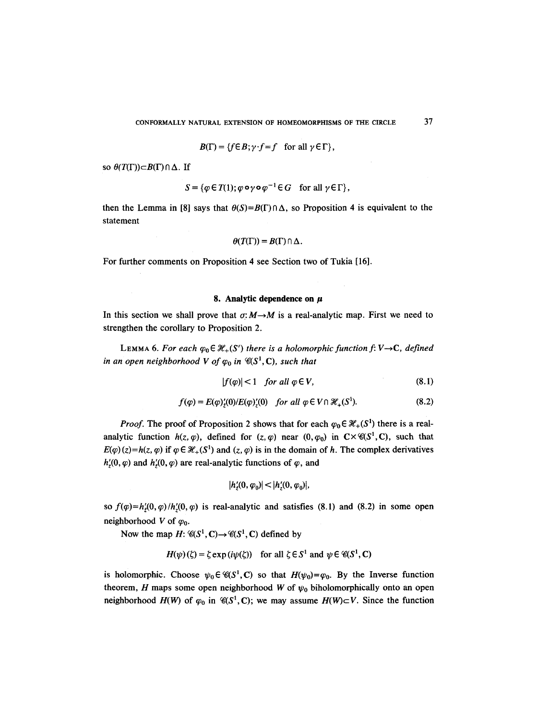$$
B(\Gamma) = \{ f \in B; \gamma \cdot f = f \quad \text{for all } \gamma \in \Gamma \},
$$

so  $\theta(T(\Gamma))\subset B(\Gamma)\cap \Delta$ . If

$$
S = \{ \varphi \in T(1); \varphi \circ \gamma \circ \varphi^{-1} \in G \quad \text{for all } \gamma \in \Gamma \},
$$

then the Lemma in [8] says that  $\theta(S)=B(\Gamma)\cap \Delta$ , so Proposition 4 is equivalent to the statement

$$
\theta(T(\Gamma))=B(\Gamma)\cap\Delta.
$$

For further comments on Proposition 4 see Section two of Tukia [16].

#### **8. Analytic dependence on**  $\mu$

In this section we shall prove that  $\sigma: M \rightarrow M$  is a real-analytic map. First we need to strengthen the corollary to Proposition 2.

LEMMA 6. For each  $\varphi_0 \in \mathcal{H}_+(S')$  there is a holomorphic function f: V $\rightarrow$ C, defined *in an open neighborhood V of*  $\varphi_0$  *in*  $\mathcal{C}(S^1, \mathbb{C})$ , *such that* 

$$
|f(\varphi)| < 1 \quad \text{for all } \varphi \in V,\tag{8.1}
$$

$$
f(\varphi) = E(\varphi)'_{\underline{\mathbf{z}}}(0)/E(\varphi)'_{\underline{\mathbf{z}}}(0) \quad \text{for all } \varphi \in V \cap \mathcal{H}_+(\mathbf{S}^1). \tag{8.2}
$$

*Proof.* The proof of Proposition 2 shows that for each  $\varphi_0 \in \mathcal{H}_+(S^1)$  there is a realanalytic function  $h(z, \varphi)$ , defined for  $(z, \varphi)$  near  $(0, \varphi_0)$  in  $C \times \mathcal{C}(S^1, C)$ , such that  $E(\varphi)(z) = h(z, \varphi)$  if  $\varphi \in \mathcal{H}_+(S^1)$  and  $(z, \varphi)$  is in the domain of h. The complex derivatives  $h'(0, \varphi)$  and  $h'(0, \varphi)$  are real-analytic functions of  $\varphi$ , and

$$
|h'_z(0,\varphi_0)| < |h'_z(0,\varphi_0)|,
$$

so  $f(\varphi)=h'_{\zeta}(0,\varphi)/h'_{\zeta}(0,\varphi)$  is real-analytic and satisfies (8.1) and (8.2) in some open neighborhood V of  $\varphi_0$ .

Now the map  $H: \mathcal{C}(S^1, \mathbb{C}) \to \mathcal{C}(S^1, \mathbb{C})$  defined by

 $H(\psi)(\zeta) = \zeta \exp(i\psi(\zeta))$  for all  $\zeta \in S^1$  and  $\psi \in \mathcal{C}(S^1, \mathbb{C})$ 

is holomorphic. Choose  $\psi_0 \in \mathcal{C}(S^1, C)$  so that  $H(\psi_0) = \varphi_0$ . By the Inverse function theorem, H maps some open neighborhood W of  $\psi_0$  biholomorphically onto an open neighborhood  $H(W)$  of  $\varphi_0$  in  $\mathcal{C}(S^1, \mathbb{C})$ ; we may assume  $H(W) \subset V$ . Since the function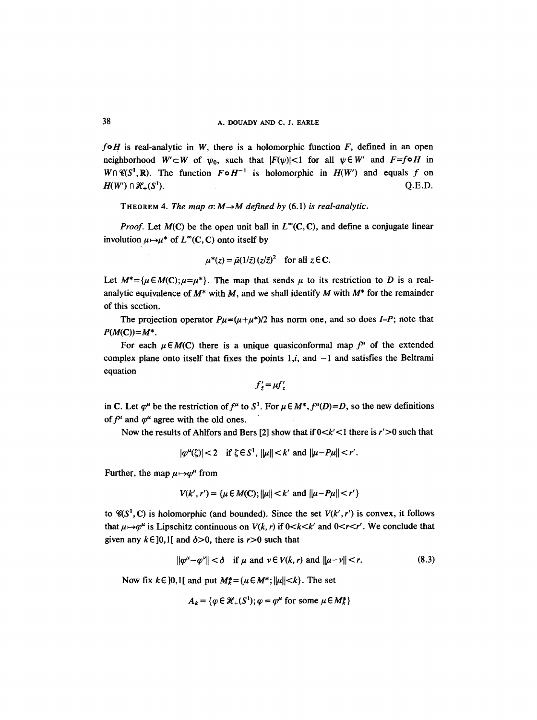$f \circ H$  is real-analytic in W, there is a holomorphic function  $F$ , defined in an open neighborhood  $W' \subset W$  of  $\psi_0$ , such that  $|F(\psi)| < 1$  for all  $\psi \in W'$  and  $F=f \circ H$  in  $W \cap \mathcal{C}(S^1, \mathbb{R})$ . The function  $F \circ H^{-1}$  is holomorphic in  $H(W')$  and equals f on  $H(W') \cap \mathcal{H}_+(S^1).$  Q.E.D.

THEOREM 4. *The map*  $\sigma$ *: M*  $\rightarrow$  *M defined by* (6.1) *is real-analytic.* 

*Proof.* Let  $M(C)$  be the open unit ball in  $L^{\infty}(C, C)$ , and define a conjugate linear involution  $\mu \mapsto \mu^*$  of  $L^{\infty}(C, C)$  onto itself by

$$
\mu^*(z) = \bar{\mu}(1/\bar{z}) (z/\bar{z})^2 \quad \text{for all } z \in \mathbb{C}.
$$

Let  $M^*={\mu\in M(C); \mu=\mu^*}.$  The map that sends  $\mu$  to its restriction to D is a realanalytic equivalence of  $M^*$  with M, and we shall identify M with  $M^*$  for the remainder of this section.

The projection operator  $P\mu=(\mu+\mu^*)/2$  has norm one, and so does *I-P*; note that  $P(M(C))=M^*$ .

For each  $\mu \in M(C)$  there is a unique quasiconformal map  $f^{\mu}$  of the extended complex plane onto itself that fixes the points  $1,i$ , and  $-1$  and satisfies the Beltrami equation

$$
f'_{\bar{z}} = \mu f'_{z}
$$

in C. Let  $\varphi^{\mu}$  be the restriction of  $f^{\mu}$  to  $S^1$ . For  $\mu \in M^*$ ,  $f^{\mu}(D)=D$ , so the new definitions of  $f^{\mu}$  and  $\varphi^{\mu}$  agree with the old ones.

Now the results of Ahlfors and Bers [2] show that if  $0 < k' < 1$  there is  $r' > 0$  such that

$$
|\varphi^{\mu}(\zeta)| < 2 \quad \text{if } \zeta \in S^1, \ |\mu| < k' \text{ and } |\mu - P\mu| < r'.
$$

Further, the map  $\mu \mapsto \varphi^{\mu}$  from

$$
V(k', r') = \{ \mu \in M(C); ||\mu|| < k' \text{ and } ||\mu - P\mu|| < r' \}
$$

to  $\mathcal{C}(S^1, C)$  is holomorphic (and bounded). Since the set  $V(k', r')$  is convex, it follows that  $\mu \mapsto \varphi^{\mu}$  is Lipschitz continuous on  $V(k, r)$  if  $0 \lt k \lt k'$  and  $0 \lt r \lt r'$ . We conclude that given any  $k \in [0,1]$  and  $\delta > 0$ , there is r > 0 such that

$$
\|\varphi^{\mu}-\varphi^{\nu}\|<\delta \quad \text{if } \mu \text{ and } \nu\in V(k,r) \text{ and } \|\mu-\nu\|
$$

Now fix  $k \in ]0,1[$  and put  $M_k^* = {\mu \in M^*; ||\mu|| < k}.$  The set

$$
A_k = \{ \varphi \in \mathcal{H}_+(S^1); \varphi = \varphi^\mu \text{ for some } \mu \in M_k^* \}
$$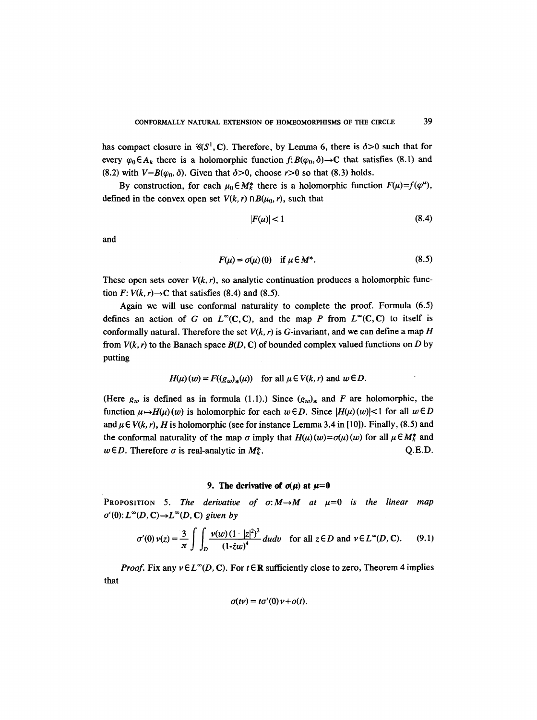has compact closure in  $\mathcal{C}(S^1, C)$ . Therefore, by Lemma 6, there is  $\delta > 0$  such that for every  $\varphi_0 \in A_k$  there is a holomorphic function  $f: B(\varphi_0, \delta) \to \mathbb{C}$  that satisfies (8.1) and (8.2) with  $V=B(\varphi_0, \delta)$ . Given that  $\delta > 0$ , choose  $r > 0$  so that (8.3) holds.

By construction, for each  $\mu_0 \in M_k^*$  there is a holomorphic function  $F(\mu)=f(\varphi^{\mu})$ , defined in the convex open set  $V(k, r) \cap B(u_0, r)$ , such that

$$
|F(\mu)| < 1 \tag{8.4}
$$

and

$$
F(\mu) = \sigma(\mu)(0) \quad \text{if } \mu \in M^*.
$$
 (8.5)

These open sets cover  $V(k, r)$ , so analytic continuation produces a holomorphic function  $F: V(k, r) \rightarrow C$  that satisfies (8.4) and (8.5).

Again we will use conformal naturality to complete the proof. Formula (6.5) defines an action of G on  $L^{\infty}(C, C)$ , and the map P from  $L^{\infty}(C, C)$  to itself is conformally natural. Therefore the set  $V(k, r)$  is G-invariant, and we can define a map H from  $V(k, r)$  to the Banach space  $B(D, C)$  of bounded complex valued functions on D by putting

$$
H(\mu)(w) = F((g_w)_*(\mu)) \quad \text{for all } \mu \in V(k,r) \text{ and } w \in D.
$$

(Here  $g_w$  is defined as in formula (1.1).) Since  $(g_w)_*$  and F are holomorphic, the function  $\mu \mapsto H(\mu)(w)$  is holomorphic for each  $w \in D$ . Since  $|H(\mu)(w)| < 1$  for all  $w \in D$ and  $\mu \in V(k, r)$ , *H* is holomorphic (see for instance Lemma 3.4 in [10]). Finally, (8.5) and the conformal naturality of the map  $\sigma$  imply that  $H(u)(w) = \sigma(u)(w)$  for all  $\mu \in M_k^*$  and  $w \in D$ . Therefore  $\sigma$  is real-analytic in  $M_k^*$ .  $Q.E.D.$ 

#### **9.** The derivative of  $\sigma(\mu)$  at  $\mu=0$

**PROPOSITION** 5. The derivative of  $\sigma: M \rightarrow M$  at  $\mu=0$  is the linear map  $\sigma'(0)$ :  $L^{\infty}(D, \mathbb{C}) \to L^{\infty}(D, \mathbb{C})$  given by

$$
\sigma'(0)\,\nu(z) = \frac{3}{\pi} \int \int_{D} \frac{\nu(w)\,(1-|z|^2)^2}{(1-z\omega)^4} \,dudv \quad \text{for all } z \in D \text{ and } \nu \in L^{\infty}(D,\,C). \tag{9.1}
$$

*Proof.* Fix any  $\nu \in L^{\infty}(D, \mathbb{C})$ . For  $t \in \mathbb{R}$  sufficiently close to zero, Theorem 4 implies that

$$
\sigma(t\nu)=t\sigma'(0)\,\nu+o(t).
$$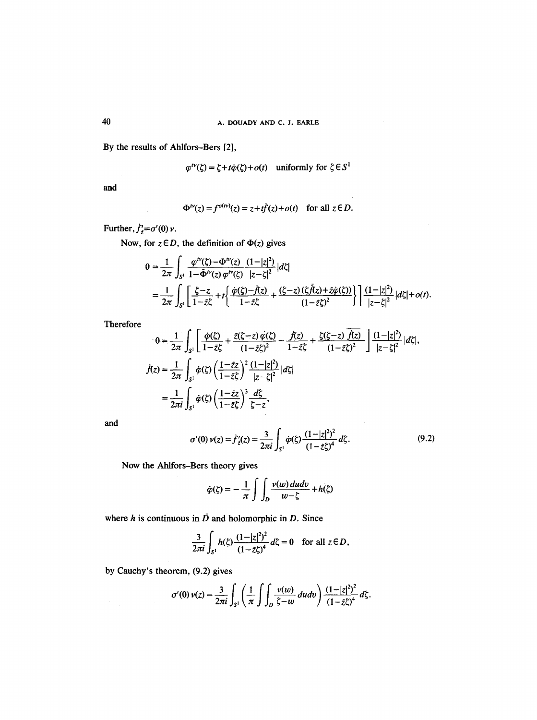By the results of Ahlfors-Bers [2],

$$
\varphi^{tv}(\zeta) = \zeta + t\dot{\varphi}(\zeta) + o(t) \quad \text{uniformly for } \zeta \in S^1
$$

and

$$
\Phi^{t\nu}(z) = f^{\sigma(t\nu)}(z) = z + t\dot{f}(z) + o(t) \quad \text{for all } z \in D.
$$

Further,  $\dot{f}'_{\bar{z}} = \sigma'(0) \nu$ .

Now, for  $z \in D$ , the definition of  $\Phi(z)$  gives

$$
0 = \frac{1}{2\pi} \int_{S^1} \frac{\varphi^{tv}(\xi) - \Phi^{tv}(z)}{1 - \bar{\Phi}^{tv}(z) \varphi^{tv}(\xi)} \frac{(1 - |z|^2)}{|z - \xi|^2} |d\xi|
$$
  
= 
$$
\frac{1}{2\pi} \int_{S^1} \left[ \frac{\xi - z}{1 - \bar{z}\xi} + t \left\{ \frac{\dot{\varphi}(\xi) - \dot{f}(z)}{1 - \bar{z}\xi} + \frac{(\xi - z)(\xi \dot{f}(z) + \bar{z}\dot{\varphi}(\xi))}{(1 - \bar{z}\xi)^2} \right\} \right] \frac{(1 - |z|^2)}{|z - \xi|^2} |d\xi| + o(t).
$$

Therefore

$$
0 = \frac{1}{2\pi} \int_{S^1} \left[ \frac{\dot{\varphi}(\zeta)}{1 - \bar{z}\zeta} + \frac{\bar{z}(\zeta - z) \dot{\varphi}(\zeta)}{(1 - \bar{z}\zeta)^2} - \frac{\dot{f}(z)}{1 - \bar{z}\zeta} + \frac{\zeta(\zeta - z) \dot{\bar{f}(z)}}{(1 - \bar{z}\zeta)^2} \right] \frac{(1 - |z|^2)}{|z - \zeta|^2} |d\zeta|,
$$
  

$$
\dot{f}(z) = \frac{1}{2\pi} \int_{S^1} \dot{\varphi}(\zeta) \left( \frac{1 - \bar{z}z}{1 - \bar{z}\zeta} \right)^2 \frac{(1 - |z|^2)}{|z - \zeta|^2} |d\zeta|
$$
  

$$
= \frac{1}{2\pi i} \int_{S^1} \dot{\varphi}(\zeta) \left( \frac{1 - \bar{z}z}{1 - \bar{z}\zeta} \right)^3 \frac{d\zeta}{\zeta - z},
$$

and

 $\frac{d}{dt} \left( \frac{d}{dt} \right)$ 

$$
\sigma'(0)\,\nu(z) = \dot{f}'_z(z) = \frac{3}{2\pi i} \int_{S^1} \dot{\varphi}(\zeta) \frac{(1-|z|^2)^2}{(1-\bar{z}\zeta)^4} \, d\zeta. \tag{9.2}
$$

Now the Ahlfors-Bers theory gives

$$
\dot{\varphi}(\zeta) = -\frac{1}{\pi} \int \int_{D} \frac{\nu(w) \, du \, dv}{w - \zeta} + h(\zeta)
$$

where h is continuous in  $\bar{D}$  and holomorphic in D. Since

$$
\frac{3}{2\pi i}\int_{S^1}h(\zeta)\frac{(1-|z|^2)^2}{(1-z\zeta)^4}d\zeta=0 \text{ for all } z\in D,
$$

by Cauchy's theorem, (9.2) gives

$$
\sigma'(0)\,\nu(z) = \frac{3}{2\pi i}\int_{S^1}\left(\frac{1}{\pi}\int\int_D\frac{\nu(w)}{\zeta-w}\,dudv\right)\frac{(1-|z|^2)^2}{(1-\bar{z}\zeta)^4}\,d\zeta.
$$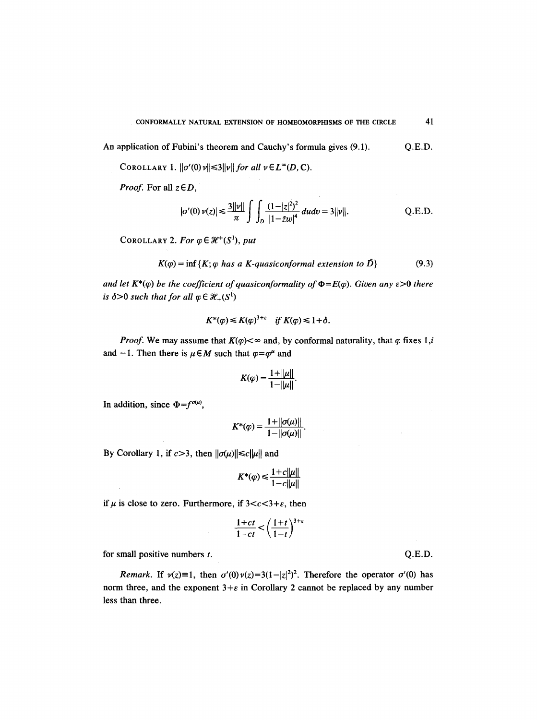An application of Fubini's theorem and Cauchy's formula gives (9.1). Q.E.D.

COROLLARY 1.  $\|\sigma'(0)\nu\| \leq 3\|\nu\|$  for all  $\nu \in L^{\infty}(D, C)$ .

*Proof.* For all  $z \in D$ ,

$$
|\sigma'(0)\,\nu(z)| \leq \frac{3||\nu||}{\pi} \int \int_D \frac{(1-|z|^2)^2}{|1-\bar{z}w|^4} \, dudv = 3||\nu||. \tag{Q.E.D.}
$$

COROLLARY 2. For  $\varphi \in \mathcal{H}^+(S^1)$ , put

$$
K(\varphi) = \inf \{ K; \varphi \text{ has a K-quasiconformal extension to } \tilde{D} \}
$$
 (9.3)

*and let*  $K^*(\varphi)$  *be the coefficient of quasiconformality of*  $\Phi = E(\varphi)$ *. Given any*  $\epsilon > 0$  *there is*  $\delta > 0$  *such that for all*  $\varphi \in \mathcal{H}_+(S^1)$ 

$$
K^*(\varphi) \leq K(\varphi)^{3+\varepsilon} \quad \text{if } K(\varphi) \leq 1+\delta.
$$

*Proof.* We may assume that  $K(\varphi) < \infty$  and, by conformal naturality, that  $\varphi$  fixes 1,*i* and -1. Then there is  $\mu \in M$  such that  $\varphi = \varphi^{\mu}$  and

$$
K(\varphi) = \frac{1 + ||\mu||}{1 - ||\mu||}.
$$

In addition, since  $\Phi = f^{\sigma(\mu)}$ ,

 $\ddot{\phantom{a}}$ 

$$
K^*(\varphi) = \frac{1 + ||\sigma(\mu)||}{1 - ||\sigma(\mu)||}.
$$

By Corollary 1, if  $c > 3$ , then  $||\sigma(\mu)|| \le c||\mu||$  and

$$
K^*(\varphi) \le \frac{1+c||\mu||}{1-c||\mu||}
$$

if  $\mu$  is close to zero. Furthermore, if  $3 < c < 3+\epsilon$ , then

$$
\frac{1+ct}{1-ct} < \left(\frac{1+t}{1-t}\right)^{3+\epsilon}
$$

for small positive numbers  $t$ .

*Remark.* If  $v(z)=1$ , then  $\sigma'(0)v(z)=3(1-|z|^2)^2$ . Therefore the operator  $\sigma'(0)$  has norm three, and the exponent  $3+\varepsilon$  in Corollary 2 cannot be replaced by any number less than three.

Q.E.D.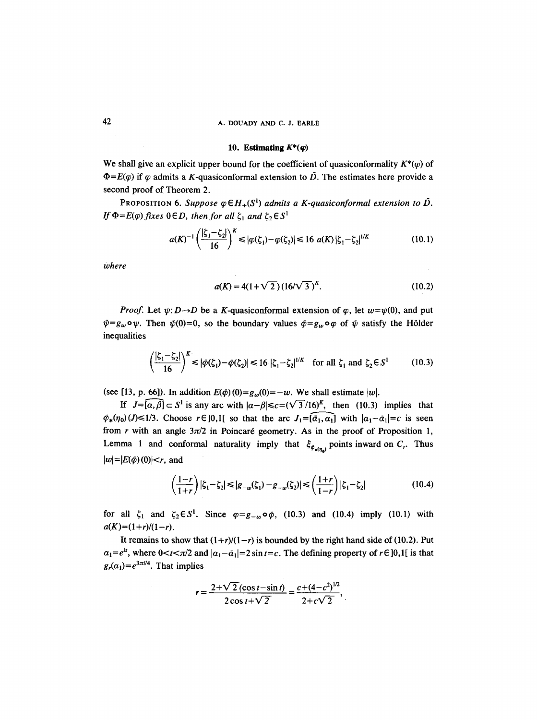# 42 A. DOUADY AND C. J. **EARLE**

#### 10. Estimating  $K^*(q)$

We shall give an explicit upper bound for the coefficient of quasiconformality  $K^*(q)$  of  $\Phi = E(\varphi)$  if  $\varphi$  admits a K-quasiconformal extension to  $\overline{D}$ . The estimates here provide a second proof of Theorem 2.

PROPOSITION 6. Suppose  $\varphi \in H_+(S^1)$  admits a K-quasiconformal extension to  $\overline{D}$ . *If*  $\Phi = E(\varphi)$  *fixes*  $0 \in D$ *, then for all*  $\zeta_1$  *and*  $\zeta_2 \in S^1$ 

$$
a(K)^{-1} \left(\frac{|\zeta_1 - \zeta_2|}{16}\right)^K \le |\varphi(\zeta_1) - \varphi(\zeta_2)| \le 16 \ a(K) |\zeta_1 - \zeta_2|^{1/K} \tag{10.1}
$$

*where* 

$$
a(K) = 4(1+\sqrt{2})(16/\sqrt{3})^{K}.
$$
 (10.2)

*Proof.* Let  $\psi: D \rightarrow D$  be a K-quasiconformal extension of  $\varphi$ , let  $w=\psi(0)$ , and put  $\bar{\psi}=g_w\circ\psi$ . Then  $\bar{\psi}(0)=0$ , so the boundary values  $\bar{\varphi}=g_w\circ\varphi$  of  $\bar{\psi}$  satisfy the Hölder inequalities

$$
\left(\frac{|\zeta_1 - \zeta_2|}{16}\right)^K \le |\tilde{\varphi}(\zeta_1) - \tilde{\varphi}(\zeta_2)| \le 16 \, |\zeta_1 - \zeta_2|^{1/K} \quad \text{for all } \zeta_1 \text{ and } \zeta_2 \in S^1 \tag{10.3}
$$

(see [13, p. 66]). In addition  $E(\phi)(0)=g_w(0)=-w$ . We shall estimate |w|.

If  $J=[\overline{a,\beta}] \subset S^1$  is any arc with  $|\alpha-\beta| \leq c=(\sqrt{3}/16)^K$ , then (10.3) implies that  $\tilde{\varphi}_*(\eta_0)(J)\leq 1/3$ . Choose  $r \in ]0,1[$  so that the arc  $J_1=[\bar{a}_1,\bar{a}_1]$  with  $|a_1-\bar{a}_1|=c$  is seen from r with an angle  $3\pi/2$  in Poincaré geometry. As in the proof of Proposition 1, Lemma 1 and conformal naturality imply that  $\xi_{\varphi_{\bullet(n)}}$  points inward on  $C_r$ . Thus  $|w|=|E(\tilde{\varphi})(0)|< r$ , and

$$
\left(\frac{1-r}{1+r}\right)|\zeta_1-\zeta_2| \le |g_{-w}(\zeta_1)-g_{-w}(\zeta_2)| \le \left(\frac{1+r}{1-r}\right)|\zeta_1-\zeta_2| \tag{10.4}
$$

for all  $\zeta_1$  and  $\zeta_2 \in S^1$ . Since  $\varphi = g_w \circ \varphi$ , (10.3) and (10.4) imply (10.1) with  $a(K)=(1+r)/(1-r)$ .

It remains to show that  $(1+r)/(1-r)$  is bounded by the right hand side of (10.2). Put  $a_1=e^{it}$ , where  $0 < t < \pi/2$  and  $|a_1-\bar{a}_1|=2 \sin t = c$ . The defining property of  $r \in ]0,1[$  is that  $g_r(\alpha_1) = e^{3\pi i/4}$ . That implies

$$
r = \frac{2 + \sqrt{2}(\cos t - \sin t)}{2\cos t + \sqrt{2}} = \frac{c + (4 - c^2)^{1/2}}{2 + c\sqrt{2}},
$$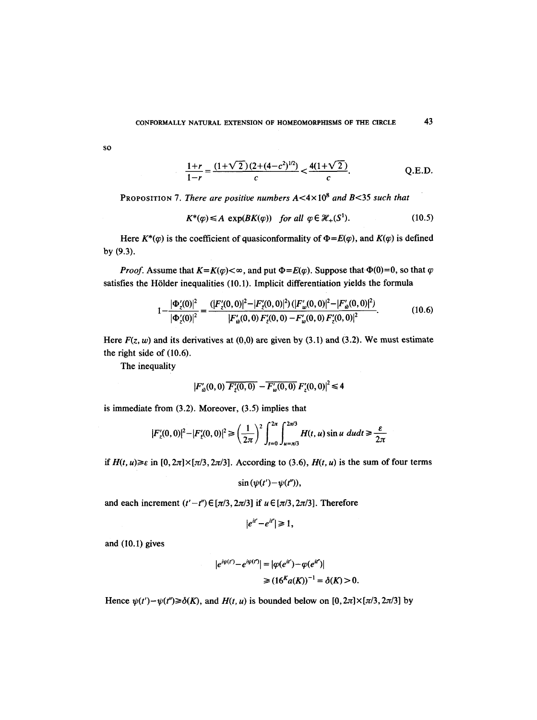SO

$$
\frac{1+r}{1-r} = \frac{(1+\sqrt{2})(2+(4-c^2)^{1/2})}{c} < \frac{4(1+\sqrt{2})}{c}.
$$
 Q.E.D.

PROPOSITION 7. *There are positive numbers* A<4x 108 *and* B<35 *such that* 

$$
K^*(\varphi) \le A \, \exp(BK(\varphi)) \quad \text{for all } \varphi \in \mathcal{H}_+(S^1). \tag{10.5}
$$

Here  $K^*(\varphi)$  is the coefficient of quasiconformality of  $\Phi = E(\varphi)$ , and  $K(\varphi)$  is defined by (9.3).

*Proof.* Assume that  $K = K(\varphi) < \infty$ , and put  $\Phi = E(\varphi)$ . Suppose that  $\Phi(0) = 0$ , so that  $\varphi$ satisfies the H61der inequalities (10.1). Implicit differentiation yields the formula

$$
1 - \frac{|\Phi_{z}'(0)|^{2}}{|\Phi_{z}'(0)|^{2}} = \frac{(|F_{z}'(0,0)|^{2} - |F_{z}'(0,0)|^{2}) (|F_{w}'(0,0)|^{2} - |F_{w}'(0,0)|^{2})}{|F_{w}'(0,0) F_{z}'(0,0) - F_{w}'(0,0) F_{z}'(0,0)|^{2}}.
$$
(10.6)

Here  $F(z, w)$  and its derivatives at  $(0,0)$  are given by  $(3.1)$  and  $(3.2)$ . We must estimate the right side of (10.6).

The inequality

 $\hat{\boldsymbol{\beta}}$ 

$$
\left|F'_{w}(0,0)\overline{F'_{z}(0,0)} - \overline{F'_{w}(0,0)}\,F'_{z}(0,0)\right|^2 \leq 4
$$

is immediate from (3.2). Moreover, (3.5) implies that

$$
|F'_{z}(0,0)|^{2} - |F'_{z}(0,0)|^{2} \ge \left(\frac{1}{2\pi}\right)^{2} \int_{t=0}^{2\pi} \int_{u=\pi/3}^{2\pi/3} H(t,u) \sin u \ du dt \ge \frac{\varepsilon}{2\pi}
$$

*if*  $H(t, u) \ge \varepsilon$  *in*  $[0, 2\pi] \times [\pi/3, 2\pi/3]$ . According to (3.6),  $H(t, u)$  is the sum of four terms

$$
\sin(\psi(t')-\psi(t''))
$$

and each increment  $(t'-t'') \in [\pi/3, 2\pi/3]$  if  $u \in [\pi/3, 2\pi/3]$ . Therefore

$$
|e^{it'}-e^{it''}| \geq 1,
$$

and (10.1) gives

$$
|e^{i\psi(t')} - e^{i\psi(t')}| = |\varphi(e^{it'}) - \varphi(e^{it'})|
$$
  
\n
$$
\geq (16^K a(K))^{-1} = \delta(K) > 0.
$$

Hence  $\psi(t') - \psi(t'') \geq \delta(K)$ , and  $H(t, u)$  is bounded below on  $[0, 2\pi] \times [\pi/3, 2\pi/3]$  by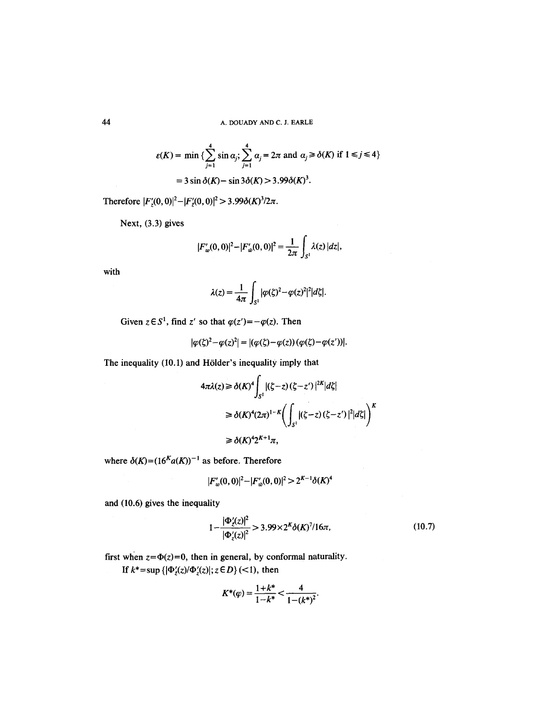$$
\varepsilon(K) = \min \left\{ \sum_{j=1}^{4} \sin \alpha_j; \sum_{j=1}^{4} \alpha_j = 2\pi \text{ and } \alpha_j \ge \delta(K) \text{ if } 1 \le j \le 4 \right\}
$$

$$
= 3 \sin \delta(K) - \sin 3\delta(K) > 3.99 \delta(K)^3.
$$

Therefore  $|F'_{z}(0,0)|^{2}-|F'_{z}(0,0)|^{2}$  > 3.99 $\delta(K)^{3}/2\pi$ .

Next, (3.3) gives

$$
|F_w'(0,0)|^2 - |F_w'(0,0)|^2 = \frac{1}{2\pi} \int_{S^1} \lambda(z) |dz|,
$$

with

$$
\lambda(z) = \frac{1}{4\pi} \int_{S^1} |\varphi(\zeta)^2 - \varphi(z)^2|^2 |d\zeta|.
$$

Given  $z \in S^1$ , find z' so that  $\varphi(z') = -\varphi(z)$ . Then

$$
|\varphi(\zeta)^2-\varphi(z)^2|=|(\varphi(\zeta)-\varphi(z))(\varphi(\zeta)-\varphi(z'))|.
$$

The inequality (10.1) and Hölder's inequality imply that

$$
4\pi\lambda(z) \ge \delta(K)^4 \int_{S^1} |(\zeta - z)(\zeta - z')|^{2K} |d\zeta|
$$
  
\n
$$
\ge \delta(K)^4 (2\pi)^{1-K} \bigg( \int_{S^1} |(\zeta - z)(\zeta - z')|^2 |d\zeta| \bigg)^K
$$
  
\n
$$
\ge \delta(K)^4 2^{K+1} \pi,
$$

where  $\delta(K)=(16^K a(K))^{-1}$  as before. Therefore

$$
|F'_{w}(0,0)|^{2}-|F'_{w}(0,0)|^{2}>2^{K-1}\delta(K)^{4}
$$

and (10.6) gives the inequality

$$
1 - \frac{|\Phi_{\xi}'(z)|^2}{|\Phi_{\xi}'(z)|^2} > 3.99 \times 2^{K} \delta(K)^{7} / 16\pi,
$$
\n(10.7)

first when  $z=\Phi(z)=0$ , then in general, by conformal naturality. **If**  $k^* = \sup \{ |\Phi'_z(z)|/|\Phi'_z(z)|; z \in D \}$  (<1), then

$$
K^*(\varphi) = \frac{1+k^*}{1-k^*} < \frac{4}{1-(k^*)^2}.
$$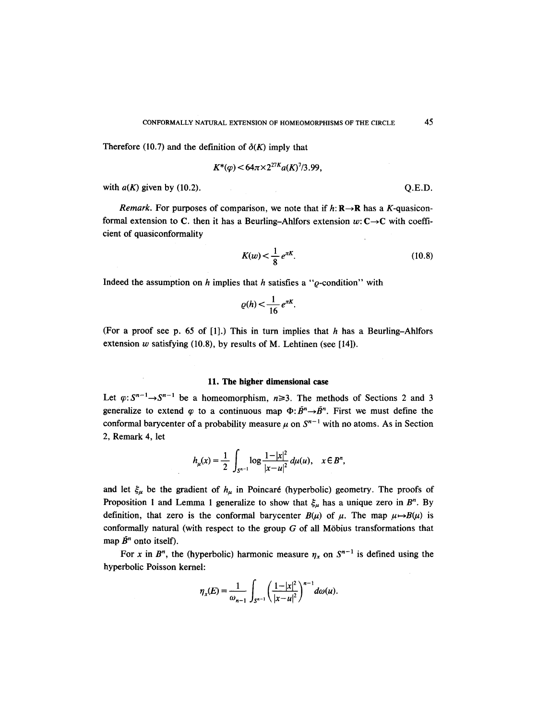Therefore (10.7) and the definition of  $\delta(K)$  imply that

$$
K^*(\varphi) < 64\pi \times 2^{27K} a(K)^7/3.99,
$$

with  $a(K)$  given by (10.2).  $Q.E.D.$ 

*Remark.* For purposes of comparison, we note that if  $h: \mathbb{R} \rightarrow \mathbb{R}$  has a K-quasiconformal extension to C. then it has a Beurling-Ahlfors extension  $w: \mathbb{C} \rightarrow \mathbb{C}$  with coefficient of quasiconformality

$$
K(w) < \frac{1}{8} \, e^{\pi K}.\tag{10.8}
$$

Indeed the assumption on h implies that h satisfies a " $\rho$ -condition" with

$$
\varrho(h) < \frac{1}{16} \, e^{\pi K}.
$$

(For a proof see p. 65 of [1].) This in turn implies that h has a Beurling-Ahlfors extension  $w$  satisfying (10.8), by results of M. Lehtinen (see [14]).

#### 11. **The higher dimensional** case

Let  $\varphi: S^{n-1}\to S^{n-1}$  be a homeomorphism,  $n\geq 3$ . The methods of Sections 2 and 3 generalize to extend  $\varphi$  to a continuous map  $\Phi$ :  $\overline{B}^n \rightarrow \overline{B}^n$ . First we must define the conformal barycenter of a probability measure  $\mu$  on  $S^{n-1}$  with no atoms. As in Section 2, Remark 4, let

$$
h_{\mu}(x) = \frac{1}{2} \int_{S^{n-1}} \log \frac{1-|x|^2}{|x-u|^2} d\mu(u), \quad x \in B^n,
$$

and let  $\xi_{\mu}$  be the gradient of  $h_{\mu}$  in Poincaré (hyperbolic) geometry. The proofs of Proposition 1 and Lemma 1 generalize to show that  $\xi_{\mu}$  has a unique zero in B<sup>n</sup>. By definition, that zero is the conformal barycenter  $B(\mu)$  of  $\mu$ . The map  $\mu \rightarrow B(\mu)$  is conformally natural (with respect to the group  $G$  of all Möbius transformations that map  $\bar{B}^n$  onto itself).

For x in  $B^n$ , the (hyperbolic) harmonic measure  $\eta_x$  on  $S^{n-1}$  is defined using the hyperbolic Poisson kernel:

$$
\eta_x(E) = \frac{1}{\omega_{n-1}} \int_{S^{n-1}} \left( \frac{1-|x|^2}{|x-u|^2} \right)^{n-1} d\omega(u).
$$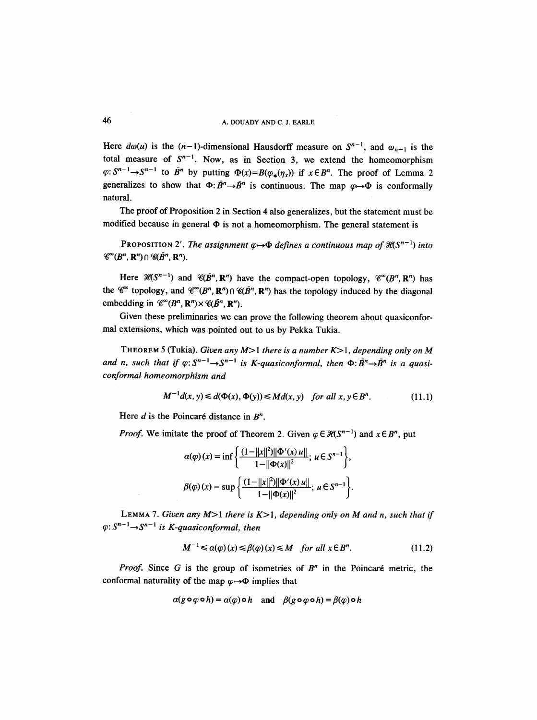# 46 A. DOUADY AND C. J. EARLE

Here  $d\omega(u)$  is the  $(n-1)$ -dimensional Hausdorff measure on  $S^{n-1}$ , and  $\omega_{n-1}$  is the total measure of  $S^{n-1}$ . Now, as in Section 3, we extend the homeomorphism  $\varphi: S^{n-1} \to S^{n-1}$  to  $\bar{B}^n$  by putting  $\Phi(x) = B(\varphi_*(n_x))$  if  $x \in B^n$ . The proof of Lemma 2 generalizes to show that  $\Phi: \bar{B}^n \to \bar{B}^n$  is continuous. The map  $\varphi \to \Phi$  is conformally natural.

The proof of Proposition 2 in Section 4 also generalizes, but the statement must be modified because in general  $\Phi$  is not a homeomorphism. The general statement is

**PROPOSITION 2'.** *The assignment*  $\varphi \rightarrow \Phi$  *defines a continuous map of*  $\mathcal{H}(S^{n-1})$  *into*  $\mathscr{C}^{\infty}(B^{n},\mathbf{R}^{n})\cap \mathscr{C}(\tilde{B}^{n},\mathbf{R}^{n}).$ 

Here  $H(S^{n-1})$  and  $H(\bar{B}^n, \mathbb{R}^n)$  have the compact-open topology,  $H(\bar{B}^n, \mathbb{R}^n)$  has the  $\mathscr{C}^{\infty}$  topology, and  $\mathscr{C}^{\infty}(B^n, \mathbb{R}^n) \cap \mathscr{C}(B^n, \mathbb{R}^n)$  has the topology induced by the diagonal embedding in  $\mathcal{C}^{\infty}(B^n, \mathbb{R}^n) \times \mathcal{C}(B^n, \mathbb{R}^n)$ .

Given these preliminaries we can prove the following theorem about quasiconformal extensions, which was pointed out to us by Pekka Tukia.

THEOREM 5 (Tukia). *Given any* M>I *there is a number* K>l, *depending only on M*  and *n*, such that if  $\varphi: S^{n-1} \to S^{n-1}$  is *K*-quasiconformal, then  $\Phi: \bar{B}^n \to \bar{B}^n$  is a quasi*conformal homeomorphism and* 

$$
M^{-1}d(x, y) \le d(\Phi(x), \Phi(y)) \le Md(x, y) \quad \text{for all } x, y \in B^n. \tag{11.1}
$$

Here  $d$  is the Poincaré distance in  $B^n$ .

*Proof.* We imitate the proof of Theorem 2. Given  $\varphi \in \mathcal{H}(\mathcal{S}^{n-1})$  and  $x \in \mathcal{B}^n$ , put

$$
\alpha(\varphi)(x) = \inf \left\{ \frac{(1 - ||x||^2) ||\Phi'(x) u||}{1 - ||\Phi(x)||^2}; \ u \in S^{n-1} \right\},\
$$

$$
\beta(\varphi)(x) = \sup \left\{ \frac{(1 - ||x||^2) ||\Phi'(x) u||}{1 - ||\Phi(x)||^2}; \ u \in S^{n-1} \right\}.
$$

LEMMA 7. *Given any* M>I *there is K>I, depending only on M and n, such that if*   $\varphi: S^{n-1}\to S^{n-1}$  is *K*-quasiconformal, then

$$
M^{-1} \leq \alpha(\varphi)(x) \leq \beta(\varphi)(x) \leq M \quad \text{for all } x \in B^n. \tag{11.2}
$$

*Proof.* Since G is the group of isometries of  $B<sup>n</sup>$  in the Poincaré metric, the conformal naturality of the map  $\varphi \mapsto \Phi$  implies that

$$
\alpha(g \circ \varphi \circ h) = \alpha(\varphi) \circ h \quad \text{and} \quad \beta(g \circ \varphi \circ h) = \beta(\varphi) \circ h
$$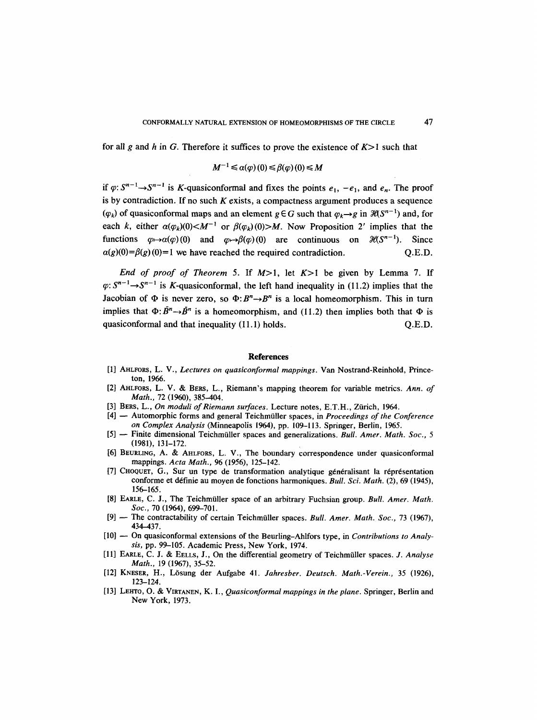for all g and h in G. Therefore it suffices to prove the existence of  $K>1$  such that

$$
M^{-1} \leq \alpha(\varphi)(0) \leq \beta(\varphi)(0) \leq M
$$

if  $\varphi$ :  $S^{n-1} \rightarrow S^{n-1}$  is K-quasiconformal and fixes the points  $e_1$ ,  $-e_1$ , and  $e_n$ . The proof is by contradiction. If no such  $K$  exists, a compactness argument produces a sequence  $(\varphi_k)$  of quasiconformal maps and an element  $g \in G$  such that  $\varphi_k \rightarrow g$  in  $\mathcal{H}(S^{n-1})$  and, for each k, either  $\alpha(\varphi_k)(0) \le M^{-1}$  or  $\beta(\varphi_k)(0) > M$ . Now Proposition 2' implies that the functions  $\varphi \mapsto \alpha(\varphi) (0)$  and  $\varphi \mapsto \beta(\varphi) (0)$  are continuous on  $\mathcal{H}(\mathcal{S}^{n-1})$ . Since  $a(g)(0)=\beta(g)(0)=1$  we have reached the required contradiction.  $Q.E.D.$ 

*End of proof of Theorem* 5. If M>I, let K>I be given by Lemma 7. If  $\varphi: S^{n-1}\to S^{n-1}$  is K-quasiconformal, the left hand inequality in (11.2) implies that the Jacobian of  $\Phi$  is never zero, so  $\Phi: B^n \rightarrow B^n$  is a local homeomorphism. This in turn implies that  $\Phi$ :  $\bar{B}^n \rightarrow \bar{B}^n$  is a homeomorphism, and (11.2) then implies both that  $\Phi$  is quasiconformal and that inequality  $(11.1)$  holds.  $Q.E.D.$ 

#### **References**

- [1] AHLFORS, L. V., *Lectures on quasiconformal mappings.* Van Nostrand-Reinhold, Princeton, 1966.
- [2] AHLFORS, L. V. & BEGS, L., Riemann's mapping theorem for variable metrics. *Ann. of Math.,* 72 (1960), 385-404.
- [3] BERS, L., *On moduli of Riemann surfaces*. Lecture notes, E.T.H., Zürich, 1964.
- [4] -- Automorphic forms and general Teichmtiller spaces, in *Proceedings of the Conference on Complex Analysis* (Minneapolis 1964), pp. 109-113. Springer, Berlin, 1965.
- [5] -- Finite dimensional Teichmüller spaces and generalizations. *Bull. Amer. Math. Soc.*, 5 (1981), 131-172.
- [6] BEUItLING, A. & ArILFORS, L. V., The boundary correspondence under quasiconformal mappings. *Acta Math.,* 96 (1956), 125-142.
- [7] CHOQUET, G., Sur un type de transformation analytique généralisant la réprésentation conforme et d6finie au moyen de fonctions harmoniques. *Bull. Sci. Math.* (2), 69 (1945), 156-165.
- [8] EARLE, C. J., The Teichmüller space of an arbitrary Fuchsian group. *Bull. Amer. Math. Soc.,* 70 (1964), 699-701.
- [9] -- The contractability of certain Teichmüller spaces. *Bull. Amer. Math. Soc.*, 73 (1967), 434-437.
- [10] -- On quasiconformal extensions of the Beurling-Ahlfors type, in *Contributions to Analysis, pp. 99-105. Academic Press, New York, 1974.*
- [11] EAaLE, C. J. & EELLS, J., On the differential geometry of Teichmtiller spaces. *J. Analyse Math.,* 19 (1967), 35-52.
- [12] KNESER, H., L6sung der Aufgabe 41. *Jahresber. Deutsch. Math.-Verein.,* 35 (1926), 123-124.
- [13] LErrro, O. & VIRTANEN, K. I., *Quasiconformal mappings in the plane.* Springer, Berlin and New York, 1973.